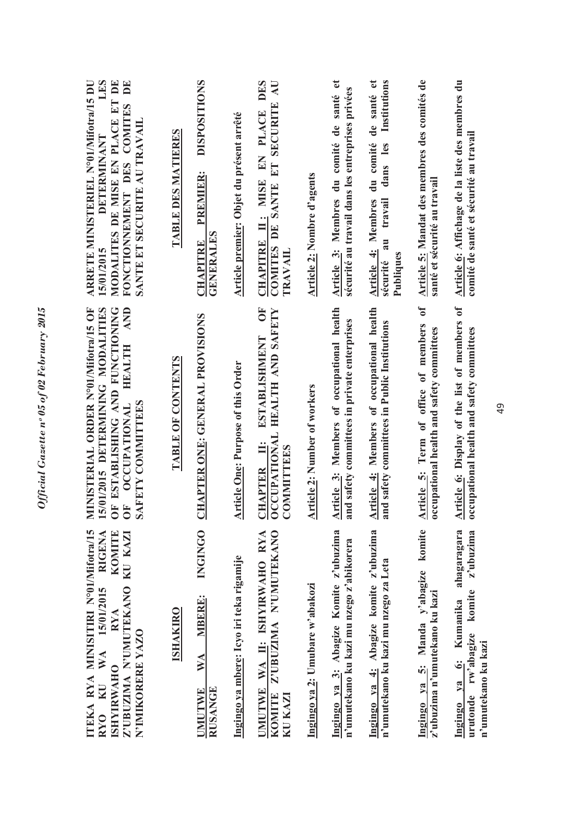| LES<br><b>ARRETE MINISTERIEL N°01/Mifotra/15 DU</b><br><b>DETERMINANT</b><br>15/01/2015 | MODALITES DE MISE EN PLACE ET DE<br>DE<br>FONCTIONNEMENT DES COMITES<br>SANTE ET SECURITE AU TRAVAIL             | <b>TABLE DES MATIERES</b> | <b>DISPOSITIONS</b><br>PREMIER:<br><b>GENERALES</b><br><b>CHAPITRE</b> | Article premier: Objet du présent arrêté  | <b>DES</b><br>$\mathbf{L}$<br>COMITES DE SANTE ET SECURITE<br>CHAPITRE II: MISE EN PLACE<br><b>TRAVAIL</b> | Article 2: Nombre d'agents          | Article 3: Membres du comité de santé et<br>sécurité au travail dans les entreprises privées | de santé et<br>Institutions<br>du comité<br>dans les<br><b>Article 4: Membres</b><br>travail<br>$\overline{a}$<br>Publiques<br>sécurité | Article 5: Mandat des membres des comités de<br>santé et sécurité au travail                  | Article 6: Affichage de la liste des membres du<br>comité de santé et sécurité au travail               |
|-----------------------------------------------------------------------------------------|------------------------------------------------------------------------------------------------------------------|---------------------------|------------------------------------------------------------------------|-------------------------------------------|------------------------------------------------------------------------------------------------------------|-------------------------------------|----------------------------------------------------------------------------------------------|-----------------------------------------------------------------------------------------------------------------------------------------|-----------------------------------------------------------------------------------------------|---------------------------------------------------------------------------------------------------------|
| 5/01/2015 DETERMINING MODALITIES<br>MINISTERIAL ORDER N°01/Mifotra/15 OF                | IF ESTABLISHING AND FUNCTIONING<br><b>AND</b><br><b>HEALTH</b><br>SAFETY COMMITTEES<br><b>OCCUPATIONAL</b><br>OF | TABLE OF CONTENTS         | HAPTER ONE: GENERAL PROVISIONS                                         | <b>Article One: Purpose of this Order</b> | ÖF<br>OCCUPATIONAL HEALTH AND SAFETY<br>ESTABLISHMENT<br>$\ddot{=}$<br><b>COMMITTEES</b><br><b>CHAPTER</b> | <b>Article 2: Number of workers</b> | Article 3: Members of occupational health<br>and safety committees in private enterprises    | Article 4: Members of occupational health<br>and safety committees in Public Institutions                                               | $\sigma$<br>Article 5: Term of office of members<br>occupational health and safety committees | Article 6: Display of the list of members of<br>occupational health and safety committees               |
| ITEKA RYA MINISITIRI N°01/Mifotra/15<br><b>RIGENA</b><br>RYO KU WA 15/01/2015           | KOMITE<br>Z'UBUZIMA N'UMUTEKANO KU KAZI<br>RYA<br>N'IMIKORERE YAZO<br><b>ISHYIRWAHO</b>                          | <b>ISHAKIRO</b>           | <b>INGINGO</b><br><b>MBERE:</b><br>WA<br>RUSANGE<br><b>UMUTWE</b>      | Ingingo ya mbere: Icyo iri teka rigamije  | KOMITE Z'UBUZIMA N'UMUTEKANO<br>UMUTWE WA II: ISHYIRWAHO RYA<br>KU KAZI                                    | Ingingo ya 2: Umubare w'abakozi     | Ingingo ya 3: Abagize Komite z'ubuzima<br>n'umutekano ku kazi mu nzego z'abikorera           | Ingingo ya 4: Abagize komite z'ubuzima<br>n'umutekano ku kazi mu nzego za Leta                                                          | Ingingo ya 5: Manda y'abagize komite<br>z'ubuzima n'umutekano ku kazi                         | Ingingo ya 6: Kumanika ahagaragara<br>z'ubuzima<br>komite<br>urutonde rw'abagize<br>n'umutekano ku kazi |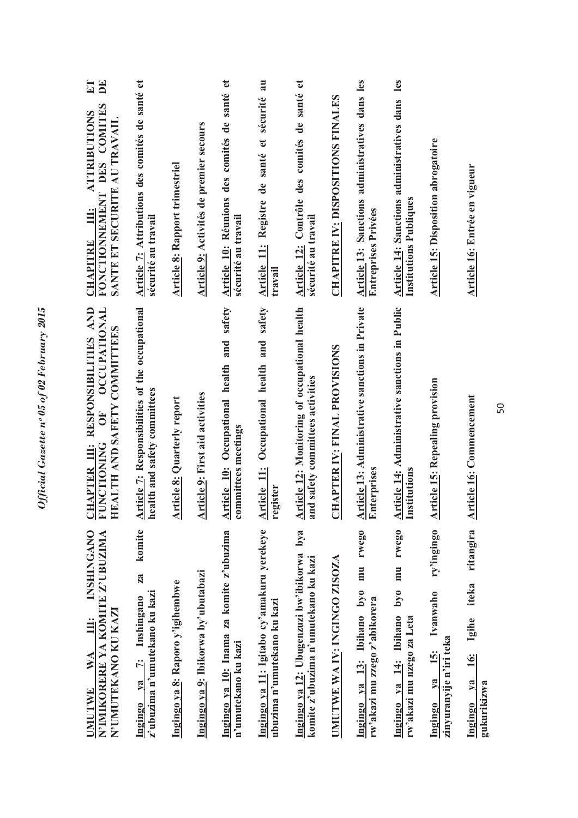| <b>INSHINGANO</b><br>N'IMIKORERE YA KOMITE Z'UBUZIMA<br>N'UMUTEKANO KU KAZI<br>ill.<br>WA<br>UMUTWE | <b>CHAPTER III: RESPONSIBILITIES AND<br/>FUNCTIONING OF OCCUPATIONAL</b><br>HEALTH AND SAFETY COMMITTEES | ET<br>$\mathbf{D}$ E<br>FONCTIONNEMENT DES COMITES<br><b>ATTRIBUTIONS</b><br>SANTE ET SECURITE AU TRAVAIL<br>Ë<br><b>CHAPITRE</b> |
|-----------------------------------------------------------------------------------------------------|----------------------------------------------------------------------------------------------------------|-----------------------------------------------------------------------------------------------------------------------------------|
| komite<br>za<br>z'ubuzima n'umutekano ku kazi<br>Ingingo ya 7: Inshingano                           | Article 7: Responsibilities of the occupational<br>health and safety committees                          | Article 7: Attributions des comités de santé et<br>sécurité au travail                                                            |
| Ingingo ya 8: Raporo y'igihembwe                                                                    | <b>Article 8: Quarterly report</b>                                                                       | <b>Article 8: Rapport trimestriel</b>                                                                                             |
| Ingingo ya 9: Ibikorwa by'ubutabazi                                                                 | <b>Article 9:</b> First aid activities                                                                   | Article 9: Activités de premier secours                                                                                           |
| Ingingo ya 10: Inama za komite z'ubuzima<br>n'umutekano ku kazi                                     | Article 10: Occupational health and safety<br>committees meetings                                        | $\mathfrak{g}$<br>Article 10: Réunions des comités de santé<br>sécurité au travail                                                |
| Ingingo ya 11: Igitabo cy'amakuru yerekeye<br>ubuzima n'umutekano ku kazi                           | Occupational health and safety<br>Article 11:<br>register                                                | Registre de santé et sécurité au<br><b>Article 11:</b><br>travail                                                                 |
| bya<br>Ingingo ya 12: Ubugenzuzi bw'ibikorwa<br>komite z'ubuzima n'umutekano ku kazi                | Article 12: Monitoring of occupational health<br>and safety committees activities                        | Article 12: Contrôle des comités de santé et<br>sécurité au travail                                                               |
| UMUTWE WA IV: INGINGO ZISOZA                                                                        | <b>CHAPTER IV: FINAL PROVISIONS</b>                                                                      | <b>CHAPITRE IV: DISPOSITIONS FINALES</b>                                                                                          |
| rwego<br>mu<br>Ingingo ya 13: Ibihano byo<br>rw'akazi mu zzego z'abikorera                          | <b>Article 13: Administrative sanctions in Private</b><br>Enterprises<br>nterprises                      | Article 13: Sanctions administratives dans les<br><b>Entreprises Privées</b>                                                      |
| rwego<br>mu<br>ovq<br>Ingingo ya 14: Ibihano<br>rw'akazi mu nzego za Leta                           | <b>Article 14: Administrative sanctions in Public</b><br>Institutions                                    | les<br>Article 14: Sanctions administratives dans<br><b>Institutions Publiques</b>                                                |
| ry'ingingo<br>Ivanwaho<br>zinyuranyije n'iri teka<br><u>15:</u><br>Ingingo ya                       | <b>Article 15: Repealing provision</b>                                                                   | <b>Article 15: Disposition abrogatoire</b>                                                                                        |
| ritangira<br>iteka<br>Igihe<br><b>16:</b><br>$1$<br>gukurikizwa<br>Ingingo                          | Article 16: Commencement                                                                                 | Article 16: Entrée en vigueur                                                                                                     |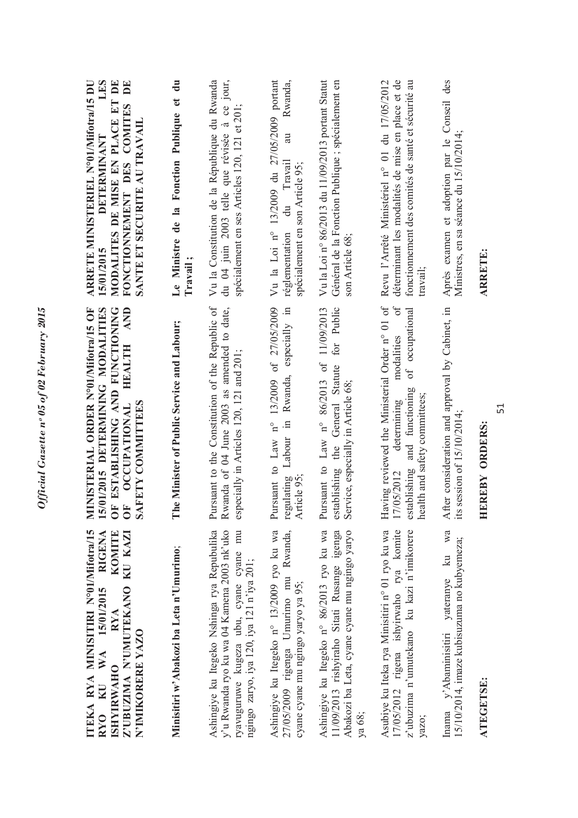| TTEKA RYA MINISITIRI N°01/Mifotr/15<br>ZUBUZIMA N'UMUTEKANO KU KAZI<br><b>RIGENA</b><br>KOMITE<br>KU WA 15/01/2015<br><b>RYA</b><br>N'IMIKORERE YAZO<br><b>ISHYIRWAHO</b><br>RY <sub>0</sub> | <b>HEALTH AND</b><br>MINISTERIAL ORDER N°01/Mifotra/15 OF<br>15/01/2015 DETERMINING MODALITIES<br>F ESTABLISHING AND FUNCTIONING<br>OF ESTABLICATIONAL<br>OF OCCUPATIONAL                      | LES<br>MODALITES DE MISE EN PLACE ET DE<br>FONCTIONNEMENT DES COMITES DE<br><b>ARRETE MINISTERIEL N°01/Mifotra/15 DU</b><br>SANTE ET SECURITE AU TRAVAII<br>DETERMINANT<br>15/01/2015 |
|----------------------------------------------------------------------------------------------------------------------------------------------------------------------------------------------|------------------------------------------------------------------------------------------------------------------------------------------------------------------------------------------------|---------------------------------------------------------------------------------------------------------------------------------------------------------------------------------------|
| Minisitiri w'Abakozi ba Leta n'Umurimo;                                                                                                                                                      | he Minister of Public Service and Labour;<br>Ē                                                                                                                                                 | $\mathbf{d}$ u<br>Le Ministre de la Fonction Publique et<br>Travail;                                                                                                                  |
| Ashingiye ku Itegeko Nshinga rya Repubulika<br>y'u Rwanda ryo ku wa 04 Kamena 2003 nk'uko<br>ryavuguruwe kugeza ubu, cyane cyane mu<br>ngingo zaryo, iya 120, iya 121 n'iya 201;             | Pursuant to the Constitution of the Republic of<br>Rwanda of 04 June 2003 as amended to date,<br>especially in Articles 120, 121 and 201;                                                      | du 04 juin 2003 telle que révisée à ce jour,<br>Vu la Constitution de la République du Rwanda<br>spécialement en ses Articles 120, 121 et 201;                                        |
| Ashingiye ku Itegeko n° 13/2009 ryo ku wa<br>27/05/2009 rigenga Umurimo mu Rwanda,<br>cyane cyane mu ngingo yaryo ya 95;                                                                     | Pursuant to Law n° 13/2009 of 27/05/2009<br>Rwanda, especially in<br>Labour in<br>regulating<br>Article 95:                                                                                    | Vu la Loi nº 13/2009 du 27/05/2009 portant<br>Rwanda,<br>au<br>Travail<br>spécialement en son Article 95;<br>$\vec{a}$<br>réglementation                                              |
| Ashingiye ku Itegeko n° 86/2013 ryo ku wa<br>Abakozi ba Leta, cyane cyane mu ngingo yaryo<br>11/09/2013 rishyiraho Sitati Rusange igenga<br>ya 68;                                           | for Public<br>Pursuant to Law n° 86/2013 of 11/09/2013<br>establishing the General Statute<br>Service, especially in Article 68;                                                               | Vu la Loi n° 86/2013 du 11/09/2013 portant Statut<br>Général de la Fonction Publique; spécialement en<br>son Article 68;                                                              |
| Asubiye ku Iteka rya Minisitiri n° 01 ryo ku wa<br>17/05/2012 rigena ishyirwaho rya komite<br>z'ubuzima n'umutekano ku kazi n'imikorere<br>yazo;                                             | Having reviewed the Ministerial Order n° 01 of<br>$\sigma$ f<br>of occupational<br>modalities<br>and functioning<br>health and safety committees;<br>determining<br>establishing<br>17/05/2012 | déterminant les modalités de mise en place et de<br>Revu l'Arrêté Ministériel n° 01 du 17/05/2012<br>fonctionnement des comités de santé et sécurité au<br>travail:                   |
| yateranye ku wa<br>15/10/2014, imaze kubisuzuma no kubyemeza;<br>Inama y'Abaminisitiri                                                                                                       | After consideration and approval by Cabinet, in<br>session of $15/10/2014$ ;<br>its                                                                                                            | Après examen et adoption par le Conseil des<br>Ministres, en sa séance du 15/10/2014;                                                                                                 |
| <b>ATEGETSE:</b>                                                                                                                                                                             | EREBY ORDERS:<br>Ξ                                                                                                                                                                             | <b>ARRETE:</b>                                                                                                                                                                        |

Official Gazette nº 05 of 02 February 2015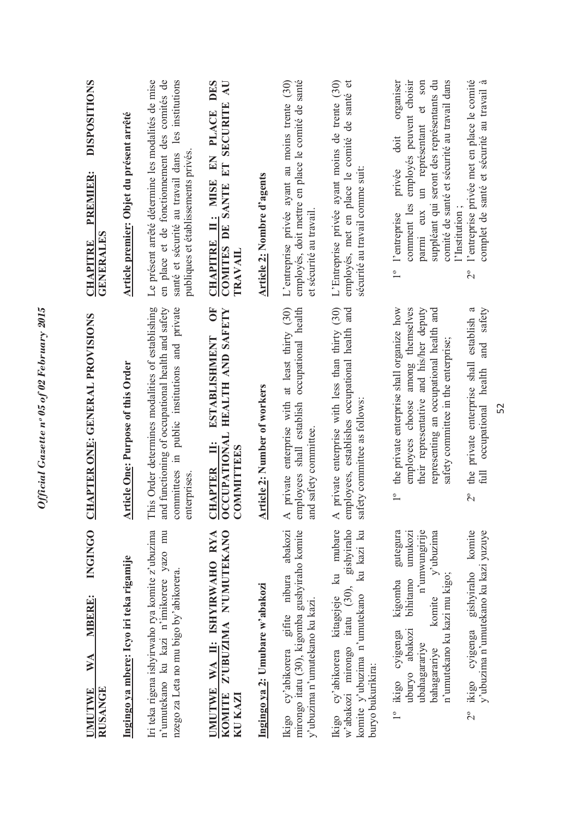| $\blacktriangle$<br>abakozi<br>n'umutekano ku kazi n'imikorere yazo mu<br>Z'UBUZIMA N'UMUTEKANO<br>UMUTWE WA II: ISHYIRWAHO RYA<br>nzego za Leta no mu bigo by'abikorera.<br>cy'abikorera gifite nibura<br>Ingingo ya 2: Umubare w'abakozi<br><b>KOMITE</b><br>KU KAZI<br>Ikigo                                                                                                                                                                                                                                                                      | This Order determines modalities of establishing<br>private enterprise with at least thirty (30)<br>and functioning of occupational health and safety<br>committees in public institutions and private<br>ŌF<br>CCUPATIONAL HEALTH AND SAFETY<br>ESTABLISHMENT<br><b>Article One: Purpose of this Order</b><br><b>Article 2: Number of workers</b><br><b>COMMITTEES</b><br><b>CHAPTER<br/>OCCUPATIO</b><br>enterprises.                                                                                                                                          | Le présent arrêté détermine les modalités de mise<br>en place et de fonctionnement des comités de<br>santé et sécurité au travail dans les institutions<br>L'entreprise privée ayant au moins trente (30)<br>EN PLACE DES<br>COMITES DE SANTE ET SECURITE AU<br>Article premier: Objet du présent arrêté<br>publiques et établissements privés<br>Article 2: Nombre d'agents<br>CHAPITRE II: MISE<br><b>GENERALES</b><br><b>TRAVAIL</b>                                                                                                                                                               |
|------------------------------------------------------------------------------------------------------------------------------------------------------------------------------------------------------------------------------------------------------------------------------------------------------------------------------------------------------------------------------------------------------------------------------------------------------------------------------------------------------------------------------------------------------|------------------------------------------------------------------------------------------------------------------------------------------------------------------------------------------------------------------------------------------------------------------------------------------------------------------------------------------------------------------------------------------------------------------------------------------------------------------------------------------------------------------------------------------------------------------|-------------------------------------------------------------------------------------------------------------------------------------------------------------------------------------------------------------------------------------------------------------------------------------------------------------------------------------------------------------------------------------------------------------------------------------------------------------------------------------------------------------------------------------------------------------------------------------------------------|
| $\blacktriangleleft$<br>Ikigo cy'abikorera kitagejeje ku mubare<br>gishyiraho<br>mirongo itatu (30), kigomba gushyiraho komite<br>ku kazi ku<br>n'unwungirije<br>$y$ 'ubuzima<br>2° ikigo cyigenga gishyiraho komite<br>gutegura<br>umukozi<br>y'ubuzima n'umutekano ku kazi yuzuye<br>n'umutekano ku kazi mu kigo;<br>bihitamo<br>kigomba<br>w'abakozi mirongo itatu (30),<br>komite y'ubuzima n'umutekano<br>komite<br>y'ubuzima n'umutekano ku kazi.<br>uburyo abakozi<br>1° ikigo cyigenga<br>ubahagarariye<br>bahagarariye<br>buryo bukurikira: | private enterprise with less than thirty (30)<br>occupational health<br>and<br>the private enterprise shall organize how<br>employees choose among themselves<br>their representative and his/her deputy<br>private enterprise shall establish a<br>safety<br>representing an occupational health and<br>employees, establishes occupational health<br>safety committee in the enterprise;<br>and<br>occupational health<br>employees shall establish<br>safety committee as follows:<br>and safety committee.<br>the<br>$\overline{1}^{\circ}$<br>$\frac{1}{2}$ | l'entreprise privée met en place le comité<br>employés, doit mettre en place le comité de santé<br>L'Entreprise privée ayant moins de trente (30)<br>employés, met en place le comité de santé et<br>comité de santé et sécurité au travail dans<br>complet de santé et sécurité au travail à<br>organiser<br>employés peuvent choisir<br>un représentant et son<br>suppléant qui seront des représentants du<br>doit<br>privée<br>sécurité au travail comme suit:<br>comment les<br>parmi eux<br>l'Institution;<br>et sécurité au travail<br>l'entreprise<br>$\overline{1}^{\circ}$<br>$\frac{1}{2}$ |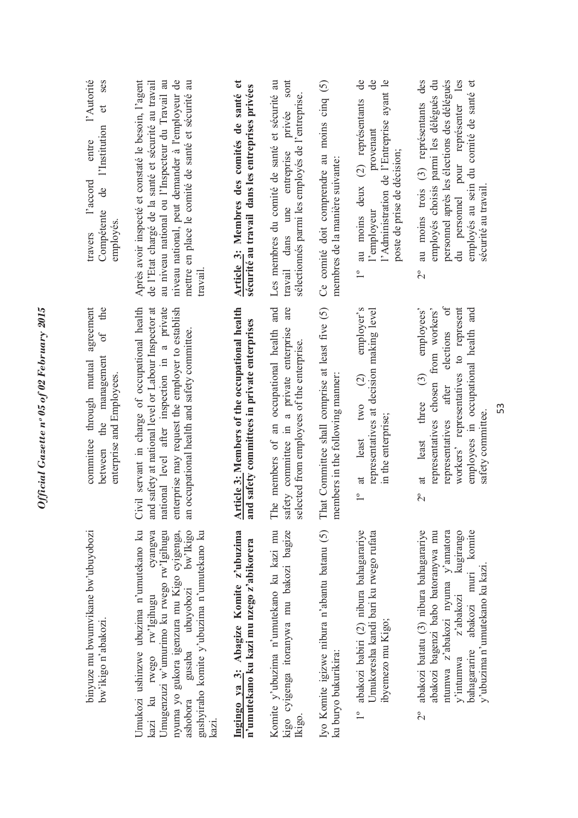| l'Autorité<br>ses<br>$\sigma$<br>l'Institution<br>entre<br>l'accord<br>g<br>Compétente<br>employes<br>travers<br>agreement<br>the<br>$\sigma$ | Après avoir inspecté et constaté le besoin, l'agent<br>au niveau national ou l'Inspecteur du Travail au<br>niveau national, peut demander à l'employeur de<br>mettre en place le comité de santé et sécurité au<br>de l'Etat chargé de la santé et sécurité au travail<br>travail | Article 3: Membres des comités de santé et<br>sécurité au travail dans les entreprises privées | sont<br>Les membres du comité de santé et sécurité au<br>sélectionnés parmi les employés de l'entreprise.<br>privée<br>travail dans une entreprise<br>are | Ce comité doit comprendre au moins cinq $(5)$<br>membres de la manière suivante     | $\overline{d}$ e<br>ಕೆ<br>l'Administration de l'Entreprise ayant le<br>au moins deux (2) représentants<br>provenant<br>poste de prise de décision;<br>l'employeur<br>$\overline{1}^{\circ}$<br>employer's | personnel après les élections des délégués<br>des<br>employés choisis parmi les délégués du<br>du personnel pour représenter les<br>employés au sein du comité de santé et<br>au moins trois (3) représentants<br>sécurité au travail<br>$\overline{C}$<br>elections of<br>employees' |
|-----------------------------------------------------------------------------------------------------------------------------------------------|-----------------------------------------------------------------------------------------------------------------------------------------------------------------------------------------------------------------------------------------------------------------------------------|------------------------------------------------------------------------------------------------|-----------------------------------------------------------------------------------------------------------------------------------------------------------|-------------------------------------------------------------------------------------|-----------------------------------------------------------------------------------------------------------------------------------------------------------------------------------------------------------|---------------------------------------------------------------------------------------------------------------------------------------------------------------------------------------------------------------------------------------------------------------------------------------|
| management<br>committee through mutual<br>enterprise and Employees.<br>the<br>between                                                         | Civil servant in charge of occupational health<br>and safety at national level or Labour Inspector at<br>national level after inspection in a private<br>enterprise may request the employer to establish<br>an occupational health and safety committee.                         | Article 3: Members of the occupational health<br>and safety committees in private enterprises  | The members of an occupational health and<br>safety committee in a private enterprise<br>selected from employees of the enterprise                        | That Committee shall comprise at least five (5)<br>members in the following manner: | representatives at decision making level<br>$\widehat{c}$<br>two<br>in the enterprise;<br>least<br>at<br>$\overline{1}^{\circ}$                                                                           | workers' representatives to represent<br>representatives chosen from workers'<br>employees in occupational health and<br>$\odot$<br>after<br>three<br>satety committee<br>representatives<br>at least<br>$\overline{C}$                                                               |
| binyuze mu bwumvikane bw'ubuyobozi<br>bw'ikigo n'abakozi.                                                                                     | Umukozi ushinzwe ubuzima n'umutekano ku<br>cyangwa<br>gusaba ubuyobozi bw'Ikigo<br>nyuma yo gukora igenzura mu Kigo cyigenga,<br>gushyiraho komite y'ubuzima n'umutekano ku<br>Umugenzuzi w'umurimo ku rwego rw'Igihugu<br>kazi ku rwego rw'Igihugu<br>ashobora<br>kazı.          | Ingingo ya 3: Abagize Komite z'ubuzima<br>n'umutekano ku kazi mu nzego z'abikorera             | Komite y'ubuzima n'umutekano ku kazi mu<br>kigo cyigenga itoranywa mu bakozi bagize<br>Ikigo.                                                             | Iyo Komite igizwe nibura n'abantu batanu (5)<br>ku buryo bukurikira:                | abakozi babiri (2) nibura bahagarariye<br>Umukoresha kandi bari ku rwego rufata<br>ibyemezo mu Kigo;<br>$\frac{1}{2}$                                                                                     | abakozi batatu (3) nibura bahagarariye<br>kugirango<br>komite<br>abakozi bagenzi babo batoranywa mu<br>ntumwa z'abakozi nyuma y'amatora<br>y'ubuzima n'umutekano ku kazi.<br>abakozi muri<br>z'abakozi<br>bahagararire<br>y'intumwa<br>$2^{\circ}$                                    |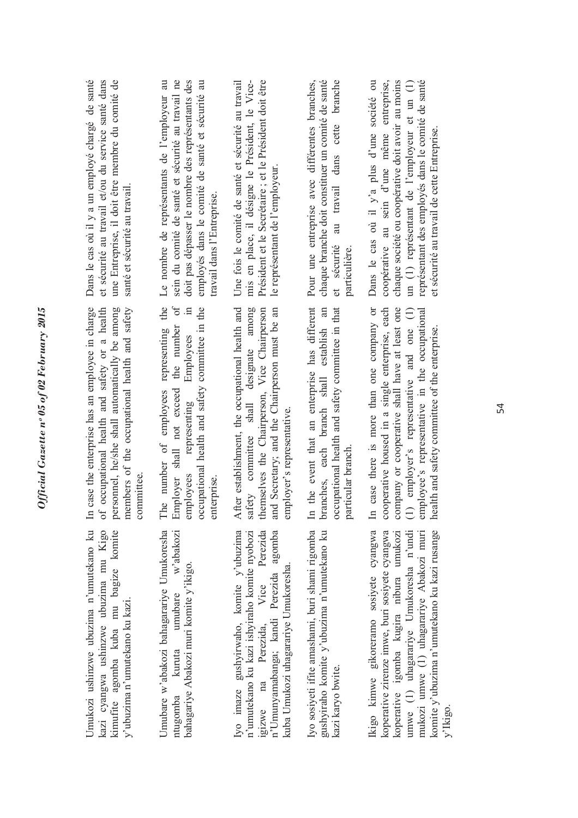| Dans le cas où il y a un employé chargé de santé<br>et sécurité au travail et/ou du service santé dans<br>une Entreprise, il doit être membre du comité de<br>santé et sécurité au travail.<br>In case the enterprise has an employee in charge<br>f occupational health and safety or a health<br>personnel, he/she shall automatically be among<br>members of the occupational health and safety<br>committee | Le nombre de représentants de l'employeur au<br>doit pas dépasser le nombre des représentants des<br>sein du comité de santé et sécurité au travail ne<br>employés dans le comité de santé et sécurité au<br>travail dans l'Entreprise.<br>the<br>$\mathfrak{h}$<br>occupational health and safety committee in the<br>$\Xi$<br>representing<br>the number<br>Employees<br>Employer shall not exceed<br>The number of employees<br>representing<br>employees<br>enterprise | mis en place, il désigne le Président, le Vice-<br>Président et le Secrétaire; et le Président doit être<br>Une fois le comité de santé et sécurité au travail<br>le représentant de l'employeur.<br>After establishment, the occupational health and<br>safety committee shall designate among<br>themselves the Chairperson, Vice Chairperson<br>nd Secretary; and the Chairperson must be an<br>employer's representative. | au travail dans cette branche<br>chaque branche doit constituer un comité de santé<br>Pour une entreprise avec différentes branches,<br>sécurité<br>particulière.<br>$\sigma$<br>In the event that an enterprise has different<br>branches, each branch shall establish an<br>occupational health and safety committee in that<br>particular branch | Dans le cas où il y'a plus d'une société ou<br>chaque société ou coopérative doit avoir au moins<br>représentant des employés dans le comité de santé<br>coopérative au sein d'une même entreprise,<br>un (1) représentant de l'employeur et un (1)<br>et sécurité au travail de cette Entreprise.<br>ooperative housed in a single enterprise, each<br>case there is more than one company or<br>ompany or cooperative shall have at least one<br>1) employer's representative and one (1)<br>mployee's representative in the occupational<br>health and safety committee of the enterprise. |
|-----------------------------------------------------------------------------------------------------------------------------------------------------------------------------------------------------------------------------------------------------------------------------------------------------------------------------------------------------------------------------------------------------------------|----------------------------------------------------------------------------------------------------------------------------------------------------------------------------------------------------------------------------------------------------------------------------------------------------------------------------------------------------------------------------------------------------------------------------------------------------------------------------|-------------------------------------------------------------------------------------------------------------------------------------------------------------------------------------------------------------------------------------------------------------------------------------------------------------------------------------------------------------------------------------------------------------------------------|-----------------------------------------------------------------------------------------------------------------------------------------------------------------------------------------------------------------------------------------------------------------------------------------------------------------------------------------------------|-----------------------------------------------------------------------------------------------------------------------------------------------------------------------------------------------------------------------------------------------------------------------------------------------------------------------------------------------------------------------------------------------------------------------------------------------------------------------------------------------------------------------------------------------------------------------------------------------|
| Umukozi ushinzwe ubuzima n'umutekano ku<br>kazi cyangwa ushinzwe ubuzima mu Kigo<br>kimufite agomba kuba mu bagize komite<br>y'ubuzima n'umutekano ku kazi.                                                                                                                                                                                                                                                     | Umubare w'abakozi bahagarariye Umukoresha<br>w'abakozi<br>bahagariye Abakozi muri komite y'ikigo.<br>umubare<br>kuruta<br>ntugomba                                                                                                                                                                                                                                                                                                                                         | $\tilde{a}$<br>n'umutekano ku kazi ishyiraho komite nyobozi<br>n'Umunyamabanga; kandi Perezida agomba<br>Iyo imaze gushyirwaho, komite y'ubuzima<br>Perezida<br>kuba Umukozi uhagarariye Umukoresha.<br>Perezida, Vice<br>1gizwe na                                                                                                                                                                                           | Iyo sosiyeti ifite amashami, buri shami rigomba<br>gushyiraho komite y'ubuzima n'umutekano ku<br>kazi karyo bwite.                                                                                                                                                                                                                                  | Ikigo kimwe gikoreramo sosiyete cyangwa<br>komite y'ubuzima n'umutekano ku kazi rusange<br>koperative zirenze imwe, buri sosiyete cyangwa<br>umwe (1) uhagarariye Umukoresha n'undi<br>mukozi umwe (1) uhagarariye Abakozi muri<br>koperative igomba kugira nibura umukozi<br>y'lkigo                                                                                                                                                                                                                                                                                                         |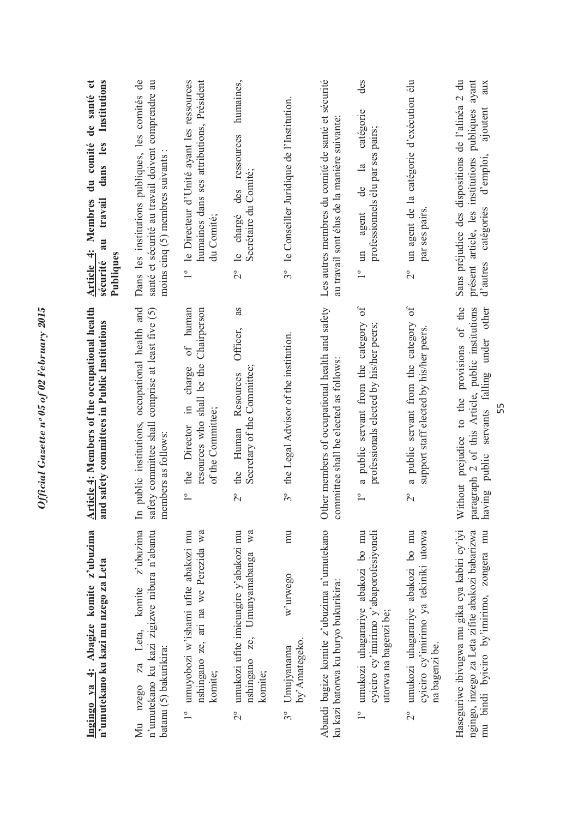| Ingingo ya 4: Abagize komite z'ubuzima<br>komite z'ubuzima<br>n'umutekano ku kazi mu nzego za Leta<br>za Leta,<br>nzego<br>Мu               | Article 4: Members of the occupational health<br>occupational health and<br>and safety committees in Public Institutions<br>public institutions,<br>$\mathbb{H}$ | Institutions<br>Dans les institutions publiques, les comités de<br>de santé et<br>du comité<br>dans les<br>Article 4: Membres<br>travail<br>au<br>Publiques<br>sécurité |
|---------------------------------------------------------------------------------------------------------------------------------------------|------------------------------------------------------------------------------------------------------------------------------------------------------------------|-------------------------------------------------------------------------------------------------------------------------------------------------------------------------|
| n'umutekano ku kazi zigizwe nibura n'abantu<br>batanu (5) bakurikira:                                                                       | safety committee shall comprise at least five (5)<br>members as follows:                                                                                         | santé et sécurité au travail doivent comprendre au<br>moins cinq (5) membres suivants                                                                                   |
| umuyobozi w'ishami ufite abakozi mu<br>nshingano ze, ari na we Perezida wa<br>komite;<br>$\overline{1}^{\circ}$                             | human<br>Chairperson<br>$\sigma f$<br>resources who shall be the<br>charge<br>$\equiv$<br>of the Committee;<br>the Director<br>$\overline{1}^{\circ}$            | le Directeur d'Unité ayant les ressources<br>humaines dans ses attributions, Président<br>du Comité;<br>$\overline{1}^{\circ}$                                          |
| umukozi ufite imicungire y'abakozi mu<br>wa<br>Umunyamabanga<br>ze,<br>nshingano<br>komite;<br>$2^{\circ}$                                  | as<br>Officer,<br>Secretary of the Committee;<br>Resources<br>the Human<br>$\overline{C}$                                                                        | humaines,<br>2° le chargé des ressources<br>Secrétaire du Comité;                                                                                                       |
| mu<br>w'urwego<br>by' Amategeko.<br>Umujyanama<br>$3^{\circ}$                                                                               | the Legal Advisor of the institution.<br>$3^{\circ}$                                                                                                             | 3° le Conseiller Juridique de l'Institution.                                                                                                                            |
| Abandi bagize komite z'ubuzima n'umutekano<br>ku kazi batorwa ku buryo bukurikira:                                                          | Other members of occupational health and safety<br>committee shall be elected as follows:                                                                        | Les autres membres du comité de santé et sécurité<br>au travail sont élus de la manière suivante                                                                        |
| umukozi uhagarariye abakozi bo mu<br>cyiciro cy'imirimo y'abaporofesiyoneli<br>utorwa na bagenzi be;<br>$\overline{1}^{\circ}$              | $\delta$<br>a public servant from the category<br>professionals elected by his/her peers;<br>$\overline{1}^{\circ}$                                              | des<br>catégorie<br>professionnels élu par ses pairs;<br>$\overline{a}$<br>de<br>agent<br>$\Xi$                                                                         |
| umukozi uhagarariye abakozi bo mu<br>cyiciro cy'imirimo ya tekiniki utorwa<br>na bagenzi be.<br>$2^{\circ}$                                 | a public servant from the category of<br>support staff elected by his/her peers.<br>$\overline{C}$                                                               | un agent de la catégorie d'exécution élu<br>par ses pairs<br>$\overline{C}$                                                                                             |
| Haseguriwe ibivugwa mu gika cya kabiri cy'iyi<br>ngingo, inzego za Leta zifite abakozi babarizwa<br>mu bindi byiciro by'imirimo, zongera mu | Without prejudice to the provisions of the<br>paragraph 2 of this Article, public institutions<br>having public servants falling under other                     | Sans préjudice des dispositions de l'alinéa 2 du<br>présent article, les institutions publiques ayant<br>aux<br>ajoutent<br>d'autres catégories d'emploi,               |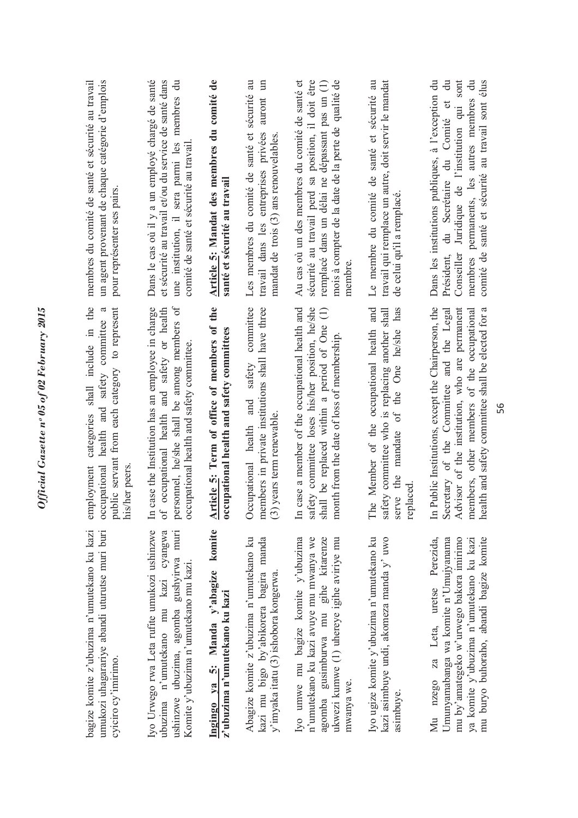| un agent provenant de chaque catégorie d'emplois<br>membres du comité de santé et sécurité au travail<br>pour représenter ses pairs.<br>categories shall include in the<br>$\mathfrak{a}$ | Dans le cas où il y a un employé chargé de santé<br>et sécurité au travail et/ou du service de santé dans<br>une institution, il sera parmi les membres du<br>comité de santé et sécurité au travail        | Article 5: Mandat des membres du comité de<br>santé et sécurité au travail               | auront un<br>Les membres du comité de santé et sécurité<br>travail dans les entreprises privées<br>mandat de trois $(3)$ ans renouvelables<br>committee | sécurité au travail perd sa position, il doit être<br>Au cas où un des membres du comité de santé et<br>remplacé dans un délai ne dépassant pas un (1)<br>mois à compter de la date de la perte de qualité de<br>membre<br>$\ominus$ | Le membre du comité de santé et sécurité au<br>travail qui remplace un autre, doit servir le mandat<br>de celui qu'il a remplacé.<br>has<br>of the One he/she | Conseiller Juridique de l'institution qui sont<br>comité de santé et sécurité au travail sont élus<br>Dans les institutions publiques, à l'exception du<br>$\ddot{a}$<br>membres permanents, les autres membres du<br>Président, du Secrétaire du Comité et |
|-------------------------------------------------------------------------------------------------------------------------------------------------------------------------------------------|-------------------------------------------------------------------------------------------------------------------------------------------------------------------------------------------------------------|------------------------------------------------------------------------------------------|---------------------------------------------------------------------------------------------------------------------------------------------------------|--------------------------------------------------------------------------------------------------------------------------------------------------------------------------------------------------------------------------------------|---------------------------------------------------------------------------------------------------------------------------------------------------------------|-------------------------------------------------------------------------------------------------------------------------------------------------------------------------------------------------------------------------------------------------------------|
| public servant from each category to represent<br>occupational health and safety committee<br>employment<br>his/her peers                                                                 | personnel, he/she shall be among members of<br>In case the Institution has an employee in charge<br>cocupational health and safety or health<br>occupational health and safety committee.<br>$\ddot{\circ}$ | Article 5: Term of office of members of the<br>occupational health and safety committees | members in private institutions shall have three<br>Occupational health and safety<br>$(3)$ years term renewable.                                       | safety committee loses his/her position, he/she<br>In case a member of the occupational health and<br>shall be replaced within a period of One<br>month from the date of loss of membership                                          | The Member of the occupational health and<br>safety committee who is replacing another shall<br>mandate<br>serve the<br>replaced                              | In Public Institutions, except the Chairperson, the<br>Advisor of the institution, who are permanent<br>health and safety committee shall be elected for a<br>Secretary of the Committee and the Legal<br>members, other members of the occupational        |
| bagize komite z'ubuzima n'umutekano ku kazi<br>umukozi uhagarariye abandi uturutse muri buri<br>cyiciro cy'imirimo.                                                                       | Iyo Urwego rwa Leta rufite umukozi ushinzwe<br>ubuzima n'umutekano mu kazi cyangwa<br>ushinzwe ubuzima, agomba gushyirwa muri<br>Komite y'ubuzima n'umutekano mu kazi                                       | Ingingo ya 5: Manda y'abagize komite<br>z'ubuzima n'umutekano ku kazi                    | kazi mu bigo by'abikorera bagira manda<br>Abagize komite z'ubuzima n'umutekano ku<br>y'imyaka itatu (3) ishobora kongerwa.                              | Iyo umwe mu bagize komite y'ubuzima<br>n'umutekano ku kazi avuye mu mwanya we<br>agomba gusimburwa mu gihe kitarenze<br>ukwezi kumwe (1) uhereye igihe aviriye mu<br>mwanya we.                                                      | Iyo ugize komite y'ubuzima n'umutekano ku<br>kazi asimbuye undi, akomeza manda y' uwo<br>asimbuye.                                                            | Perezida,<br>mu by'amategeko w'urwego bakora imirimo<br>Umunyamabanga wa komite n'Umujyanama<br>mu buryo buhoraho, abandi bagize komite<br>ya komite y'ubuzima n'umutekano ku kazi<br>za Leta, uretse<br>nzego<br>$\sum_{i=1}^{n}$                          |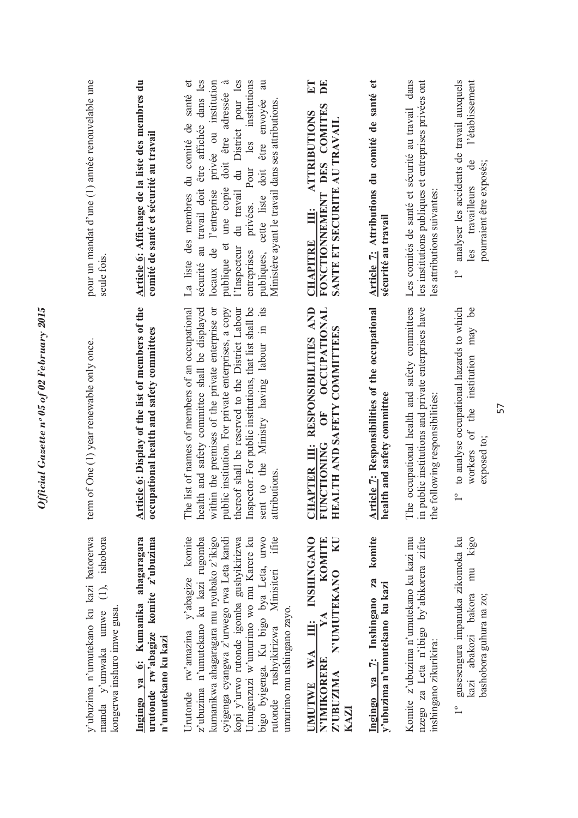| y'ubuzima n'umutekano ku kazi batorerwa<br>ishobora<br>$\hat{\Xi}$<br>manda y'umwaka umwe<br>kongerwa inshuro imwe gusa                                                                                                                                                                                                                                                       | term of One (1) year renewable only once.                                                                                                                                                                                                                                                                                                                                                                 | pour un mandat d'une (1) année renouvelable une<br>seule fois                                                                                                                                                                                                                                                                                                                                                      |
|-------------------------------------------------------------------------------------------------------------------------------------------------------------------------------------------------------------------------------------------------------------------------------------------------------------------------------------------------------------------------------|-----------------------------------------------------------------------------------------------------------------------------------------------------------------------------------------------------------------------------------------------------------------------------------------------------------------------------------------------------------------------------------------------------------|--------------------------------------------------------------------------------------------------------------------------------------------------------------------------------------------------------------------------------------------------------------------------------------------------------------------------------------------------------------------------------------------------------------------|
| Ingingo ya 6: Kumanika ahagaragara<br>urutonde rw'abagize komite z'ubuzima<br>n'umutekano ku kazi                                                                                                                                                                                                                                                                             | Article 6: Display of the list of members of the<br>occupational health and safety committees                                                                                                                                                                                                                                                                                                             | Article 6: Affichage de la liste des membres du<br>comité de santé et sécurité au travail                                                                                                                                                                                                                                                                                                                          |
| Urutonde rw'amazina y'abagize komite<br>bigo byigenga. Ku bigo bya Leta, urwo<br>ifite<br>z'ubuzima n'umutekano ku kazi rugomba<br>kumanikwa ahagaragara mu nyubako z'ikigo<br>cyigenga cyangwa z'urwego rwa Leta kandi<br>kopi y'urwo rutonde igomba gushyikirizwa<br>Umugenzuzi w'umurimo wo mu Karere ku<br>rutonde rushyikirizwa Minisiteri<br>umurimo mu nshingano zayo. | e list of names of members of an occupational<br>Inspector. For public institutions, that list shall be<br>$\frac{1}{15}$<br>health and safety committee shall be displayed<br>public institution. For private enterprises, a copy<br>thereof shall be reserved to the District Labour<br>within the premises of the private enterprise or<br>sent to the Ministry having labour in<br>attributions.<br>Ē | privée ou institution<br>l'Inspecteur du travail du District pour les<br>privées. Pour les institutions<br>au<br>du comité de santé et<br>être affichée dans les<br>doit être adressée<br>être envoyée<br>Ministère ayant le travail dans ses attributions<br>cette liste doit<br>publique et une copie<br>sécurité au travail doit<br>locaux de l'entreprise<br>La liste des membres<br>entreprises<br>publiques, |
| <b>III:</b> INSHINGANO<br>KOMITE<br>KU<br>N'UMUTEKANO<br>UMUTWE WA<br>N'IMIKORERE<br>Z'UBUZIMA<br>KAZI                                                                                                                                                                                                                                                                        | HAPTER III: RESPONSIBILITIES AND<br><b>OCCUPATIONAL</b><br>EALTH AND SAFETY COMMITTEES<br>$\overline{O}$ F<br><b>CHAPTER III:</b><br>FUNCTIONING<br>量                                                                                                                                                                                                                                                     | $E\mathbf{T}$<br>DE<br>FONCTIONNEMENT DES COMITES<br><b>ATTRIBUTIONS</b><br>SANTE ET SECURITE AU TRAVAIL<br>$\ddot{\mathbf{H}}$<br><b>CHAPITRE</b>                                                                                                                                                                                                                                                                 |
| komite<br>Ingingo ya 7: Inshingano za<br>y'ubuzima n'umutekano ku kazi                                                                                                                                                                                                                                                                                                        | Article 7: Responsibilities of the occupational<br>health and safety committee                                                                                                                                                                                                                                                                                                                            | Article 7: Attributions du comité de santé et<br>sécurité au travail                                                                                                                                                                                                                                                                                                                                               |
| nzego za Leta n'ibigo by'abikorera zifite<br>Komite z'ubuzima n'umutekano ku kazi mu<br>inshingano zikurikira:                                                                                                                                                                                                                                                                | The occupational health and safety committees<br>in public institutions and private enterprises have<br>the following responsibilities:                                                                                                                                                                                                                                                                   | les institutions publiques et entreprises privées ont<br>Les comités de santé et sécurité au travail dans<br>les attributions suivantes:                                                                                                                                                                                                                                                                           |
| 1º gusesengura impanuka zikomoka ku<br>mu kigo<br>kazi abakozi bakora<br>bashobora guhura na zo;                                                                                                                                                                                                                                                                              | to analyse occupational hazards to which<br>may be<br>the institution<br>$\sigma$<br>exposed to;<br>workers<br>$\overline{\phantom{0}}$                                                                                                                                                                                                                                                                   | analyser les accidents de travail auxquels<br>l'établissement<br>$\mathbf{d}\mathbf{e}$<br>pourraient être exposés;<br>travailleurs<br>$\overline{1}^{\circ}$                                                                                                                                                                                                                                                      |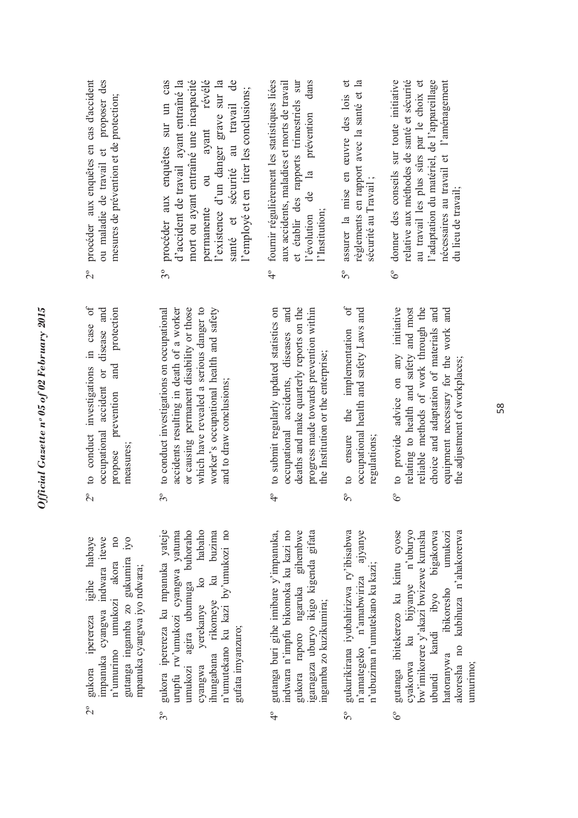| ן<br>י<br>$\frac{1}{2}$   |
|---------------------------|
| i<br>J                    |
| ĺ<br>f 02<br>ĉ<br>ì<br>65 |
| $\mathbf{a}^{\mathbf{c}}$ |
| 2110                      |
| $-200$<br>ر در            |

- 2º gukora iperereza igihe habaye impanuka cyangwa indwara itewe n'umurimo umukozi akora no  $10<sub>0</sub>$ gutanga ingamba zo gukumira iyo igihe habaye impanuka cyangwa indwara itewe gutanga ingamba zo gukumira iyo umukozi akora mpanuka cyangwa iyo ndwara; mpanuka cyangwa iyo ndwara; gukora iperereza n'umurimo  $2^{\circ}$
- 3º gukora iperereza ku mpanuka yateje umukozi agira ubumuga buhoraho cyangwa yerekanye ko habaho buzima ihungabana rikomeye ku buzima n'umutekano ku kazi by'umukozi no urupfu rw'umukozi cyangwa yatuma umukozi agira ubumuga buhoraho habaho gukora iperereza ku mpanuka yateje urupfu rw'umukozi cyangwa yatuma n'umutekano ku kazi by'umukozi no hungabana rikomeye ku yerekanye ko gufata imyanzuro; gufata imyanzuro; cyangwa  $3^{\circ}$
- 4º gutanga buri gihe imibare y'impanuka, indwara n'impfu bikomoka ku kazi no gukora raporo ngaruka gihembwe igaragaza uburyo ikigo kigenda gifata indwara n'impfu bikomoka ku kazi no gihembwe garagaza uburyo ikigo kigenda gifata gutanga buri gihe imibare y'impanuka, ngaruka ingamba zo kuzikumira; ngamba zo kuzikumira; raporo sukora  $\frac{1}{4}$
- 5º gukurikirana iyubahirizwa ry'ibisabwa n'amategeko n'amabwiriza ajyanye gukurikirana iyubahirizwa ry'ibisabwa n'amategeko n'amabwiriza ajyanye n'ubuzima n'umutekano ku kazi; n'ubuzima n'umutekano ku kazi;  $5^{\circ}$
- 6º gutanga ibitekerezo ku kintu cyose cyakorwa ku bijyanye n'uburyo bw'imikorere y'akazi bwizewe kurusha bigakorwa ubundi kandi ibyo bigakorwa hatoranywa ibikoresho umukozi akoresha no kubihuza n'ahakorerwa gutanga ibitekerezo ku kintu cyose cyakorwa ku bijyanye n'uburyo ow'imikorere y'akazi bwizewe kurusha umukozi ikoresha no kubihuza n'ahakorerwa abundi kandi ibyo ibikoresho natoranywa umurimo;  $\delta^{\circ}$
- to conduct investigations in case of 2º to conduct investigations in case of occupational accident or disease and propose prevention and protection occupational accident or disease and propose prevention and protection measures; measures:  $2^{\circ}$
- 3º to conduct investigations on occupational accidents resulting in death of a worker or causing permanent disability or those which have revealed a serious danger to worker's occupational health and safety to conduct investigations on occupational accidents resulting in death of a worker or causing permanent disability or those which have revealed a serious danger to worker's occupational health and safety and to draw conclusions; and to draw conclusions;  $3<sup>o</sup>$
- 4º to submit regularly updated statistics on occupational accidents, diseases and deaths and make quarterly reports on the progress made towards prevention within to submit regularly updated statistics on occupational accidents, diseases and deaths and make quarterly reports on the progress made towards prevention within the Institution or the enterprise; the Institution or the enterprise;  $\frac{1}{4}$
- of 5º to ensure the implementation of occupational health and safety Laws and occupational health and safety Laws and to ensure the implementation regulations; regulations;  $5^{\circ}$
- 6º to provide advice on any initiative relating to health and safety and most reliable methods of work through the choice and adaptation of materials and equipment necessary for the work and to provide advice on any initiative relating to health and safety and most<br>reliable methods of work through the choice and adaptation of materials and equipment necessary for the work and the adjustment of workplaces; the adjustment of workplaces;  $6^{\circ}$
- 2º procéder aux enquêtes en cas d'accident ou maladie de travail et proposer des procéder aux enquêtes en cas d'accident proposer des mesures de prévention et de protection; mesures de prévention et de protection; ou maladie de travail et  $2^{\circ}$
- de 3º procéder aux enquêtes sur un cas d'accident de travail ayant entraîné la mort ou ayant entraîné une incapacité permanente ou ayant révélé l'existence d'un danger grave sur la santé et sécurité au travail de procéder aux enquêtes sur un cas d'accident de travail ayant entraîné la mort ou ayant entraîné une incapacité ou ayant révélé existence d'un danger grave sur la l'employé et en tirer les conclusions; 'employé et en tirer les conclusions; santé et sécurité au travail permanente  $3<sup>o</sup>$
- 4º fournir régulièrement les statistiques liées aux accidents, maladies et morts de travail et établir des rapports trimestriels sur l'évolution de la prévention dans fournir régulièrement les statistiques liées et établir des rapports trimestriels sur<br>l'évolution de la prévention dans la prévention dans aux accidents, maladies et morts de travail l'Institution; 'Institution:  $\frac{1}{4}$
- 5º assurer la mise en œuvre des lois et règlements en rapport avec la santé et la règlements en rapport avec la santé et la assurer la mise en œuvre des lois et sécurité au Travail; sécurité au Travail ; 50
- 6º donner des conseils sur toute initiative relative aux méthodes de santé et sécurité au travail les plus sûrs par le choix et l'adaptation du matériel, de l'appareillage l'adaptation du matériel, de l'appareillage nécessaires au travail et l'aménagement donner des conseils sur toute initiative relative aux méthodes de santé et sécurité au travail les plus sûrs par le choix et nécessaires au travail et l'aménagement lu lieu de travail; du lieu de travail;  $\delta^{\circ}$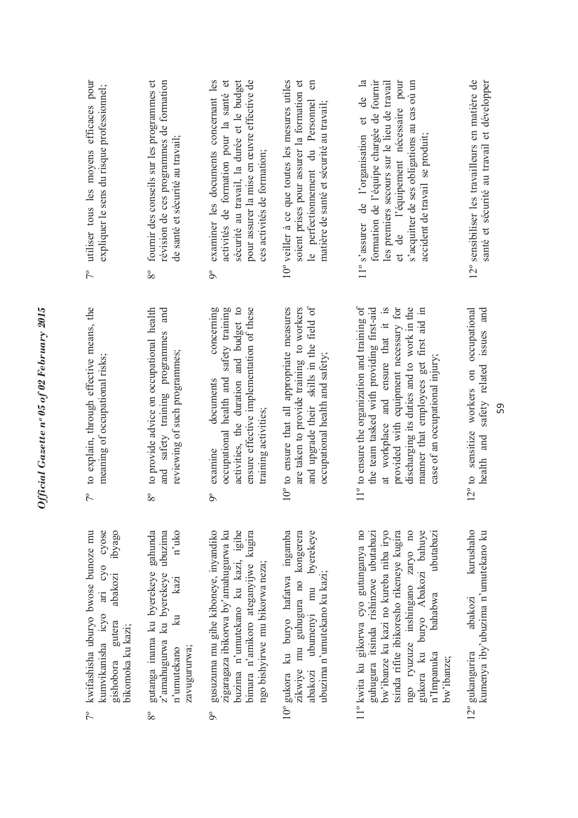| utiliser tous les moyens efficaces pour<br>expliquer le sens du risque professionnel;<br>$7^{\circ}$                                                 | révision de ces programmes de formation<br>fournir des conseils sur les programmes et<br>de santé et sécurité au travail;<br>$8^{\circ}$<br>and                      | sécurité au travail, la durée et le budget<br>pour assurer la mise en œuvre effective de<br>examiner les documents concernant les<br>activités de formation pour la santé et<br>ces activités de formation;<br>å<br>concerning | soient prises pour assurer la formation et<br>10° veiller à ce que toutes les mesures utiles<br>$\epsilon$<br>le perfectiomement du Personnel<br>matière de santé et sécurité au travail; | les premiers secours sur le lieu de travail<br>et de l'équipement nécessaire pour<br>$\overline{a}$<br>formation de l'équipe chargée de fournir<br>s'acquitter de ses obligations au cas où un<br>ප්<br>11° s'assurer de l'organisation et<br>accident de travail se produit;                    | 12° sensibiliser les travailleurs en matière de<br>santé et sécurité au travail et développer |
|------------------------------------------------------------------------------------------------------------------------------------------------------|----------------------------------------------------------------------------------------------------------------------------------------------------------------------|--------------------------------------------------------------------------------------------------------------------------------------------------------------------------------------------------------------------------------|-------------------------------------------------------------------------------------------------------------------------------------------------------------------------------------------|--------------------------------------------------------------------------------------------------------------------------------------------------------------------------------------------------------------------------------------------------------------------------------------------------|-----------------------------------------------------------------------------------------------|
| to explain, through effective means, the<br>meaning of occupational risks;<br>$7^{\circ}$                                                            | to provide advice on occupational health<br>safety training programmes<br>reviewing of such programmes;<br>and<br>$8^{\circ}$                                        | occupational health and safety training<br>activities, the duration and budget to<br>ensure effective implementation of these<br>documents<br>training activities;<br>examine<br>°6                                            | and upgrade their skills in the field of<br>are taken to provide training to workers<br>10° to ensure that all appropriate measures<br>occupational health and safety;                    | 11° to ensure the organization and training of<br>the team tasked with providing first-aid<br>discharging its duties and to work in the<br>manner that employees get first aid in<br>provided with equipment necessary for<br>at workplace and ensure that it<br>case of an occupational injury; | safety related issues and<br>12° to sensitize workers on occupational<br>health and           |
| kumvikanisha icyo ari cyo cyose<br>gishobora gutera abakozi ibyago<br>7° kwifashisha uburyo bwose bunoze mu<br>gishobora gutera<br>bikomoka ku kazi; | gutanga inama ku byerekeye gahunda<br>n'uko<br>z'amahugurwa ku byerekeye ubuzima<br>$k$ azi<br>$\overline{\mathbb{R}}$<br>zavugururwa;<br>n'umutekano<br>$8^{\circ}$ | buzima n'umutekano ku kazi, igihe<br>zigaragaza ibikorwa by'amahugurwa ku<br>bimara n'amikoro ateganyijwe kugira<br>gusuzuma mu gihe kiboneye, inyandiko<br>ngo bishyirwe mu bikorwa neza;<br>°6                               | abakozi ubumenyi mu byerekeye<br>10° gukora ku buryo hafatwa ingamba<br>zikwiye mu guhugura no kongerera<br>ubuzima n'umutekano ku kazi;                                                  | gukora ku buryo Abakozi bahuye<br>11° kwita ku gikorwa cyo gutunganya no<br>guhugura itsinda rishinzwe ubutabazi<br>bw'ibanze ku kazi no kureba niba iryo<br>tsinda rifite ibikoresho rikeneye kugira<br>ngo ryuzuze inshingano zaryo no<br>ubutabazi<br>bahabwa<br>n'Impanuka<br>bw'ibanze;     | kurushaho<br>kumenya iby'ubuzima n'umutekano ku<br>abakozi<br>12° gukangurira                 |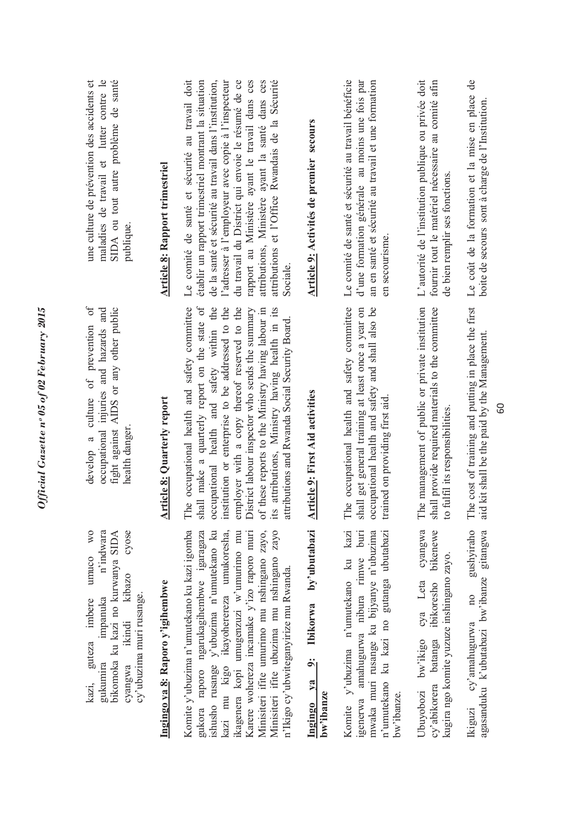| une culture de prévention des accidents et<br>maladies de travail et lutter contre le<br>SIDA ou tout autre problème de santé<br>publique.                                                      | <b>Article 8: Rapport trimestriel</b> | rapport au Ministère ayant le travail dans ces<br>Le comité de santé et sécurité au travail doit<br>établir un rapport trimestriel montrant la situation<br>de la santé et sécurité au travail dans l'institution,<br>l'adresser à l'employeur avec copie à l'inspecteur<br>du travail du District qui envoie le résumé de ce<br>attributions, Ministère ayant la santé dans ces<br>attributions et l'Office Rwandais de la Sécurité<br>Sociale               | Article 9: Activités de premier secours                                        | Le comité de santé et sécurité au travail bénéficie<br>d'une formation générale au moins une fois par<br>an en santé et sécurité au travail et une formation<br>en secourisme             | L'autorité de l'institution publique ou privée doit<br>fournir tout le matériel nécessaire au comité afin<br>de bien remplir ses fonctions. | Le coût de la formation et la mise en place de<br>boite de secours sont à charge de l'Institution        |
|-------------------------------------------------------------------------------------------------------------------------------------------------------------------------------------------------|---------------------------------------|---------------------------------------------------------------------------------------------------------------------------------------------------------------------------------------------------------------------------------------------------------------------------------------------------------------------------------------------------------------------------------------------------------------------------------------------------------------|--------------------------------------------------------------------------------|-------------------------------------------------------------------------------------------------------------------------------------------------------------------------------------------|---------------------------------------------------------------------------------------------------------------------------------------------|----------------------------------------------------------------------------------------------------------|
| culture of prevention of<br>fight against AIDS or any other public<br>occupational injuries and hazards and<br>health danger<br>$\mathfrak{a}$<br>develop                                       | <b>Article 8: Quarterly report</b>    | The occupational health and safety committee<br>shall make a quarterly report on the state of<br>occupational health and safety within the<br>institution or enterprise to be addressed to the<br>employer with a copy thereof reserved to the<br>of these reports to the Ministry having labour in<br>attributions, Ministry having health in its<br>District labour inspector who sends the summary<br>attributions and Rwanda Social Security Board<br>its | Article 9: First Aid activities                                                | The occupational health and safety committee<br>occupational health and safety and shall also be<br>shall get general training at least once a year on<br>trained on providing first aid  | The management of public or private institution<br>shall provide required materials to the committee<br>to fulfil its responsibilities.     | The cost of training and putting in place the first<br>aid kit shall be the paid by the Management.<br>8 |
| cyose<br>W <sub>O</sub><br>n'indwara<br>bikomoka ku kazi no kurwanya SIDA<br>umuco<br>kibazo<br>cy'ubuzima muri rusange.<br>impanuka<br>guteza imbere<br>ikindi<br>gukumira<br>cyangwa<br>kazi, | Ingingo ya 8: Raporo y'igihembwe      | Komite y'ubuzima n'umutekano ku kazi igomba<br>Minisiteri ifite ubuzima mu nshingano zayo<br>Minisiteri ifite umurimo mu nshingano zayo,<br>gukora raporo ngarukagihembwe igaragaza<br>ishusho rusange y'ubuzima n'umutekano ku<br>kazi mu kigo ikayoherereza umukoresha,<br>ikagenera kopi umugenzuzi w'umurimo mu<br>Karere wohereza incamake y'izo raporo muri<br>n'Ikigo cy'ubwiteganyirize mu Rwanda.                                                    | by'ubutabazi<br>Ibikorwa<br>$\ddot{\mathbf{c}}$<br>$1$<br>bw'ibanze<br>Ingingo | Komite y'ubuzima n'umutekano ku kazi<br>$b$ uri<br>mwaka muri rusange ku bijyanye n'ubuzima<br>n'umutekano ku kazi no gutanga ubutabazi<br>igenerwa amahugurwa nibura rimwe<br>bw'ibanze. | cyangwa<br>bikenewe<br>kugira ngo komite yuzuze inshingano zayo.<br>ibikoresho<br>cya Leta<br>cy'abikorera batanga<br>Ubuyobozi bw'ikigo    | gushyiraho<br>agasanduku k'ubutabazi bw'ibanze gitangwa<br>$\overline{10}$<br>cy'amahugurwa<br>Ikiguzi   |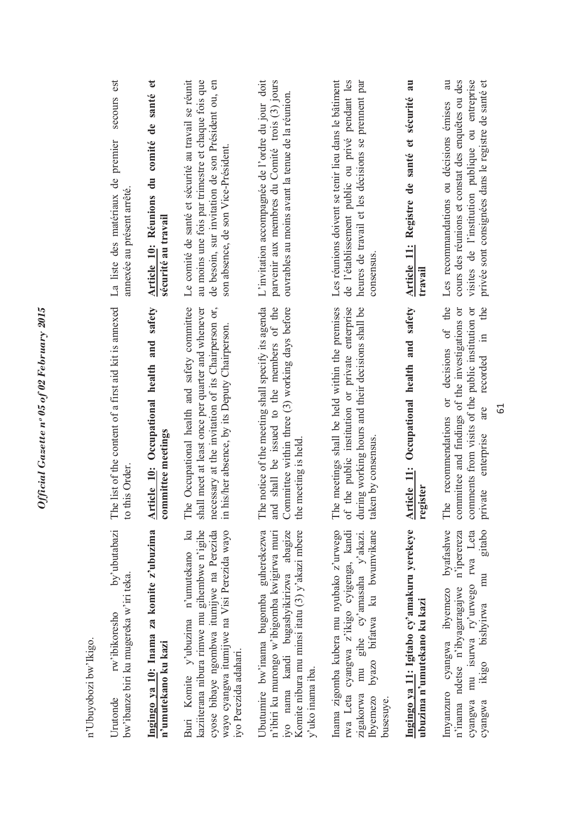| n'Ubuyobozi bw'Ikigo.                                                                                                                                                                                     |                                                                                                                                                                                                          |                                                                                                                                                                                                              |
|-----------------------------------------------------------------------------------------------------------------------------------------------------------------------------------------------------------|----------------------------------------------------------------------------------------------------------------------------------------------------------------------------------------------------------|--------------------------------------------------------------------------------------------------------------------------------------------------------------------------------------------------------------|
| by'ubutabazi<br>bw'ibanze biri ku mugereka w'iri teka<br>rw'ibikoresho<br>Urutonde                                                                                                                        | ist of the content of a first aid kit is annexed<br>this Order<br>Ę<br>$\circ$                                                                                                                           | secours est<br>La liste des matériaux de premier<br>annexée au présent arrêté                                                                                                                                |
| Ingingo ya 10: Inama za komite z'ubuzima<br>n'umutekano ku kazi                                                                                                                                           | Article 10: Occupational health and safety<br>mmittee meetings<br>$\overline{\mathbf{c}}$                                                                                                                | santé et<br>Article 10: Réunions du comité de<br>sécurité au travail                                                                                                                                         |
| Buri Komite y'ubuzima n'umutekano ku<br>kaziiterana nibura rimwe mu gihembwe n'igihe<br>cyose bibaye ngombwa itumijwe na Perezida<br>wayo cyangwa itumijwe na Visi Perezida wayo<br>iyo Perezida adahari. | The Occupational health and safety committee<br>necessary at the invitation of its Chairperson or,<br>shall meet at least once per quarter and whenever<br>in his/her absence, by its Deputy Chairperson | Le comité de santé et sécurité au travail se réunit<br>au moins une fois par trimestre et chaque fois que<br>de besoin, sur invitation de son Président ou, en<br>son absence, de son Vice-Président.        |
| Jbutumire bw'inama bugomba guherekezwa<br>n'ibiri ku murongo w'ibigomba kwigirwa muri<br>iyo nama kandi bugashyikirizwa abagize<br>Komite nibura mu minsi itatu (3) y'akazi mbere<br>y'uko inama iba.     | The notice of the meeting shall specify its agenda<br>and shall be issued to the members of the<br>Committee within three (3) working days before<br>the meeting is held                                 | L'invitation accompagnée de l'ordre du jour doit<br>parvenir aux membres du Comité trois (3) jours<br>ouvrables au moins avant la tenue de la réunion.                                                       |
| Inama zigomba kubera mu nyubako z'urwego<br>byazo bifatwa ku bwumvikane<br>rwa Leta cyangwa z'ikigo cyigenga, kandi<br>mu gihe cy'amasaha y'akazi<br>zıgakorwa<br><b>lbyemezo</b><br>busesuye.            | ne meetings shall be held within the premises<br>the public institution or private enterprise<br>during working hours and their decisions shall be<br>taken by consensus<br>Ë<br>$\delta$                | Les réunions doivent se tenir lieu dans le bâtiment<br>de l'établissement public ou privé pendant les<br>heures de travail et les décisions se prennent par<br>consensus                                     |
| Ingingo ya 11: Igitabo cy'amakuru yerekeye<br>ubuzima n'umutekano ku kazi                                                                                                                                 | Article 11: Occupational health and safety<br>register                                                                                                                                                   | Article 11: Registre de santé et sécurité au<br>travail                                                                                                                                                      |
| gitabo<br>byafashwe<br>n'iperereza<br>mu isurwa ry'urwego rwa Leta<br>mu<br>n'inama ndetse n'ibyagaragajwe<br>cyangwa ibyemezo<br>ikigo bishyirwa<br>Imyanzuro<br>cyangwa<br>cyangwa                      | or decisions of the<br>recorded in the<br>comments from visits of the public institution or<br>committee and findings of the investigations or<br>are<br>The recommendations<br>enterprise<br>private    | cours des réunions et constat des enquêtes ou des<br>visites de l'institution publique ou entreprise<br>au<br>privée sont consignées dans le registre de santé et<br>Les recommandations ou décisions émises |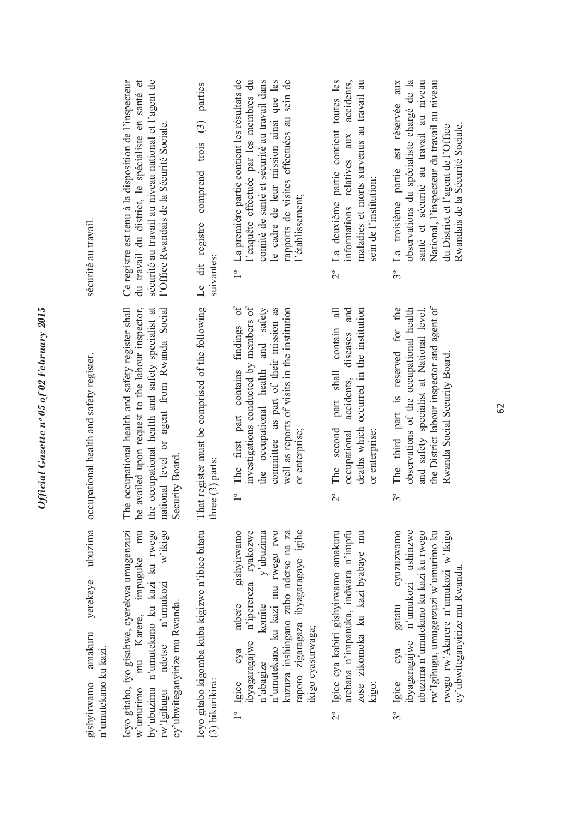| sécurité au travail.                                                  | du travail du district, le spécialiste en santé et<br>sécurité au travail au niveau national et l'agent de<br>Ce registre est tenu à la disposition de l'inspecteur<br>l'Office Rwandais de la Sécurité Sociale.          | parties<br>comprend trois (3)<br>Le dit registre<br>suivantes:       | 1º La première partie contient les résultats de<br>comité de santé et sécurité au travail dans<br>le cadre de leur mission ainsi que les<br>rapports de visites effectuées au sein de<br>l'enquête effectuée par les membres du<br>l'établissement;      | La deuxième partie contient toutes les<br>accidents,<br>maladies et morts survenus au travail au<br>informations relatives aux<br>sein de l'institution;<br>$2^{\circ}$          | santé et sécurité au travail au niveau<br>National, l'inspecteur du travail au niveau<br>aux<br>observations du spécialiste chargé de la<br>La troisième partie est réservée<br>Rwandais de la Sécurité Sociale.<br>du District et l'agent de l'Office<br>$3^{\circ}$ |
|-----------------------------------------------------------------------|---------------------------------------------------------------------------------------------------------------------------------------------------------------------------------------------------------------------------|----------------------------------------------------------------------|----------------------------------------------------------------------------------------------------------------------------------------------------------------------------------------------------------------------------------------------------------|----------------------------------------------------------------------------------------------------------------------------------------------------------------------------------|-----------------------------------------------------------------------------------------------------------------------------------------------------------------------------------------------------------------------------------------------------------------------|
| occupational health and safety register.                              | be availed upon request to the labour inspector,<br>The occupational health and safety register shall<br>national level or agent from Rwanda Social<br>the occupational health and safety specialist at<br>Security Board | That register must be comprised of the following<br>three (3) parts: | The first part contains findings of<br>investigations conducted by members of<br>the occupational health and safety<br>committee as part of their mission as<br>well as reports of visits in the institution<br>or enterprise;<br>$\overline{1}^{\circ}$ | $\exists$<br>diseases and<br>occurred in the institution<br>contain<br>part shall<br>accidents,<br>deaths which<br>The second<br>or enterprise;<br>occupational<br>$\frac{1}{2}$ | the District labour inspector and agent of<br>The third part is reserved for the<br>observations of the occupational health<br>and safety specialist at National level,<br>Rwanda Social Security Board.<br>$3^{\circ}$                                               |
| ubuzima<br>yerekeye<br>amakuru<br>n'umutekano ku kazi.<br>gishyirwamo | Icyo gitabo, iyo gisabwe, cyerekwa umugenzuzi<br>w'ikigo<br>w'umurimo mu Karere, impuguke mu<br>by'ubuzima n'umutekano ku kazi ku rwego<br>$rw'$ Igihugu ndetse n'umukozi<br>cy'ubwiteganyirize mu Rwanda.                | Icyo gitabo kigomba kuba kigizwe n'ibice bitatu<br>(3) bikurikira:   | n'umutekano ku kazi mu rwego rwo<br>gishyirwamo<br>ibyagaragajwe n'iperereza ryakozwe<br>y'ubuzima<br>raporo zigaragaza ibyagaragaye igihe<br>kuzuza inshingano zabo ndetse na za<br>komite<br>mbere<br>ikigo cyasurwaga;<br>1º Igice cya<br>n'abagize   | arebana n'impanuka, indwara n'impfu<br>2° Igice cya kabiri gishyirwamo amakuru<br>zose zikomoka ku kazi byabaye mu<br>kigo;                                                      | cyuzuzwamo<br>ibyagaragajwe n'umukozi ushinzwe<br>ubuzima n'umutekano ku kazi ku rwego<br>rwego rw'Akarere n'umukozi w'Ikigo<br>rw'Igihugu, umugenzuzi w'umurimo ku<br>cy'ubwiteganyirize mu Rwanda.<br>gatatu<br>Igice cya<br>3°                                     |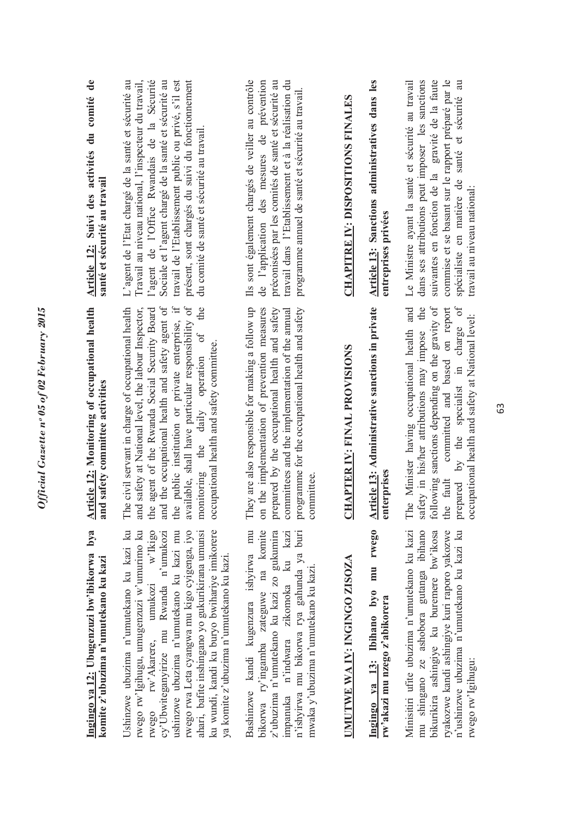| Ingingo ya 12: Ubugenzuzi bw'ibikorwa bya<br>komite z'ubuzima n'umutekano ku kazi                                                                                                                                                                                                                                                                                                                             | <b>Article 12:</b> Monitoring of occupational health<br>and safety committee activities                                                                                                                                                                                                                                                                                                                                             | Article 12: Suivi des activités du comité de<br>santé et sécurité au travail                                                                                                                                                                                                                                                                                                 |
|---------------------------------------------------------------------------------------------------------------------------------------------------------------------------------------------------------------------------------------------------------------------------------------------------------------------------------------------------------------------------------------------------------------|-------------------------------------------------------------------------------------------------------------------------------------------------------------------------------------------------------------------------------------------------------------------------------------------------------------------------------------------------------------------------------------------------------------------------------------|------------------------------------------------------------------------------------------------------------------------------------------------------------------------------------------------------------------------------------------------------------------------------------------------------------------------------------------------------------------------------|
| Ushinzwe ubuzima n'umutekano ku kazi ku<br>rwego rw'Igihugu, umugenzuzi w'umurimo ku<br>rwego rw'Akarere, umukozi w'Ikigo<br>cy'Ubwiteganyirize mu Rwanda n'umukozi<br>rwego rwa Leta cyangwa mu kigo cyigenga, iyo<br>ku wundi, kandi ku buryo bwihariye imikorere<br>ushinzwe ubuzima n'umutekano ku kazi mu<br>ahari, bafite inshingano yo gukurikirana umunsi<br>ya komite z'ubuzima n'umutekano ku kazi. | ilable, shall have particular responsibility of<br>the occupational health and safety agent of<br>public institution or private enterprise, if<br>the<br>civil servant in charge of occupational health<br>safety at National level, the labour Inspector,<br>agent of the Rwanda Social Security Board<br>monitoring the daily operation of<br>occupational health and safety committee.<br>The<br>and<br>the<br>and<br>the<br>ava | L'agent de l'Etat chargé de la santé et sécurité au<br>l'agent de l'Office Rwandais de la Sécurité<br>travail de l'Etablissement public ou privé, s'il est<br>présent, sont chargés du suivi du fonctionnement<br>Travail au niveau national, l'inspecteur du travail,<br>Sociale et l'agent chargé de la santé et sécurité au<br>du comité de santé et sécurité au travail. |
| Bashinzwe kandi kugenzura ishyirwa mu<br>bikorwa ry'ingamba zateguwe na komite<br>z'ubuzima n'umutekano ku kazi zo gukumira<br>n'ishyirwa mu bikorwa rya gahunda ya buri<br>impanuka n'indwara zikomoka ku kazi<br>mwaka y'ubuzima n'umutekano ku kazi.                                                                                                                                                       | prepared by the occupational health and safety<br>They are also responsible for making a follow up<br>programme for the occupational health and safety<br>on the implementation of prevention measures<br>committees and the implementation of the annual<br>committee.                                                                                                                                                             | Ils sont également chargés de veiller au contrôle<br>préconisées par les comités de santé et sécurité au<br>de l'application des mesures de prévention<br>travail dans l'Etablissement et à la réalisation du<br>programme annuel de santé et sécurité au travail.                                                                                                           |
| UMUTWE WA IV: INGINGO ZISOZA                                                                                                                                                                                                                                                                                                                                                                                  | APTER IV: FINAL PROVISIONS<br>F                                                                                                                                                                                                                                                                                                                                                                                                     | <b>CHAPITRE IV: DISPOSITIONS FINALES</b>                                                                                                                                                                                                                                                                                                                                     |
| mu rwego<br>Ingingo ya 13: Ibihano byo<br>rw'akazi mu nzego z'abikorera                                                                                                                                                                                                                                                                                                                                       | Article 13: Administrative sanctions in private<br>erprises<br>ent                                                                                                                                                                                                                                                                                                                                                                  | Article 13: Sanctions administratives dans les<br>entreprises privées                                                                                                                                                                                                                                                                                                        |
| Minisitiri ufite ubuzima n'umutekano ku kazi<br>mu shingano ze ashobora gutanga ibihano<br>n'ushinzwe ubuzima n'umutekano ku kazi ku<br>bikurikira ashingiye ku buremere bw'ikosa<br>ryakozwe kandi ashingiye kuri raporo yakozwe<br>rwego rw'lgihugu:                                                                                                                                                        | following sanctions depending on the gravity of<br>by the specialist in charge of<br>safety in his/her attributions may impose the<br>committed and based on report<br>The Minister having occupational health and<br>occupational health and safety at National level:<br>fault<br>prepared<br>the                                                                                                                                 | dans ses attributions peut imposer les sanctions<br>suivantes en fonction de la gravité de la faute<br>commise et se basant sur le rapport préparé par le<br>spécialiste en matière de santé et sécurité au<br>Le Ministre ayant la santé et sécurité au travail<br>travail au niveau national:                                                                              |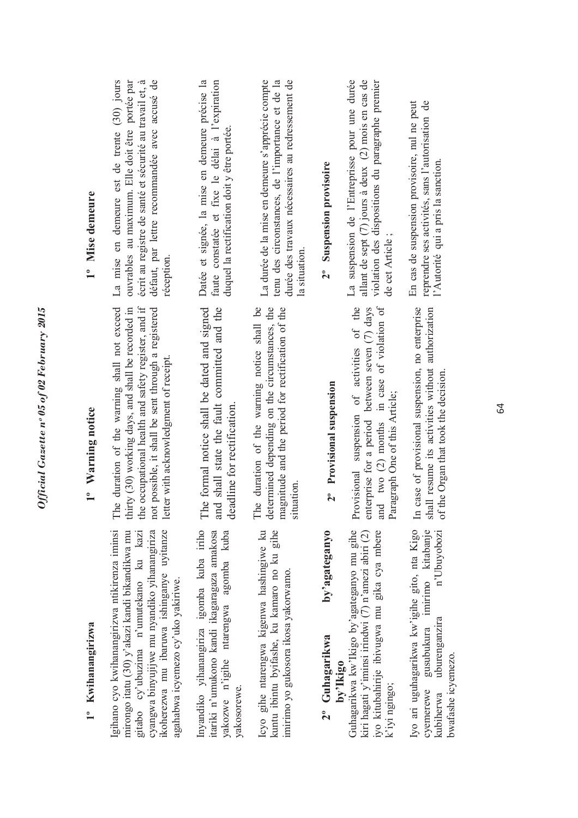| 1° Kwihanangirizwa                                                                                                                                                                                                                                                          | 1° Warning notice                                                                                                                                                                                                                                             | 1° Mise demeure                                                                                                                                                                                                          |
|-----------------------------------------------------------------------------------------------------------------------------------------------------------------------------------------------------------------------------------------------------------------------------|---------------------------------------------------------------------------------------------------------------------------------------------------------------------------------------------------------------------------------------------------------------|--------------------------------------------------------------------------------------------------------------------------------------------------------------------------------------------------------------------------|
| Igihano cyo kwihanangirizwa ntikirenza iminsi<br>ikoherezwa mu ibaruwa ishinganye uyitanze<br>mirongo itatu (30) y'akazi kandi bikandikwa mu<br>cyangwa binyujijwe mu nyandiko yihanangiriza<br>gitabo cy'ubuzima n'umutekano ku kazi<br>agahabwa icyemezo cy'uko yakiriwe. | the occupational health and safety register, and if<br>e duration of the warning shall not exceed<br>thirty (30) working days, and shall be recorded in<br>not possible, it shall be sent through a registered<br>letter with acknowledgment of receipt.<br>Ë | La mise en demeure est de trente (30) jours<br>défaut, par lettre recommandée avec accusé de<br>ouvrables au maximum. Elle doit être portée par<br>écrit au registre de santé et sécurité au travail et, à<br>réception. |
| Inyandiko yihanangiriza igomba kuba iriho<br>itariki n'umukono kandi ikagaragaza amakosa<br>agomba kuba<br>yakozwe n'igihe ntarengwa<br>yakosorewe.                                                                                                                         | The formal notice shall be dated and signed<br>and shall state the fault committed and the<br>deadline for rectification                                                                                                                                      | Datée et signée, la mise en demeure précise la<br>faute constatée et fixe le délai à l'expiration<br>duquel la rectification doit y être portée                                                                          |
| Icyo gihe ntarengwa kigenwa hashingiwe ku<br>kuntu ibintu byifashe, ku kamaro no ku gihe<br>imirimo yo gukosora ikosa yakorwamo.                                                                                                                                            | ie duration of the warning notice shall be<br>determined depending on the circumstances, the<br>magnitude and the period for rectification of the<br>situation.<br>Ë                                                                                          | La durée de la mise en demeure s'apprécie compte<br>durée des travaux nécessaires au redressement de<br>tenu des circonstances, de l'importance et de la<br>la situation                                                 |
| by'agateganyo<br>2° Guhagarikwa<br>by'Ikigo                                                                                                                                                                                                                                 | 2° Provisional suspension                                                                                                                                                                                                                                     | <b>Suspension provisoire</b><br>$2^{\circ}$                                                                                                                                                                              |
| Guhagarikwa kw'Ikigo by'agateganyo mu gihe<br>iyo kitubahirije ibivugwa mu gika cya mbere<br>kiri hagati y'iminsi irindwi (7) n'amezi abiri (2)<br>k'iyi ngingo;                                                                                                            | suspension of activities of the<br>and two (2) months in case of violation of<br>enterprise for a period between seven (7) days<br>Paragraph One of this Article;<br>Provisional                                                                              | La suspension de l'Entreprisse pour une durée<br>allant de sept (7) jours à deux (2) mois en cas de<br>violation des dispositions du paragraphe premier<br>de cet Article;                                               |
| Iyo ari uguhagarikwa kw'igihe gito, nta Kigo<br>imirimo kitabanje<br>n'Ubuyobozi<br>uburenganzıra<br>gusubukura<br>bwafashe icyemezo.<br>cyemerewe<br>kubiherwa                                                                                                             | case of provisional suspension, no enterprise<br>shall resume its activities without authorization<br>of the Organ that took the decision.<br>$\mathbb{H}$                                                                                                    | En cas de suspension provisoire, nul ne peut<br>reprendre ses activités, sans l'autorisation de<br>l'Autorité qui a pris la sanction.                                                                                    |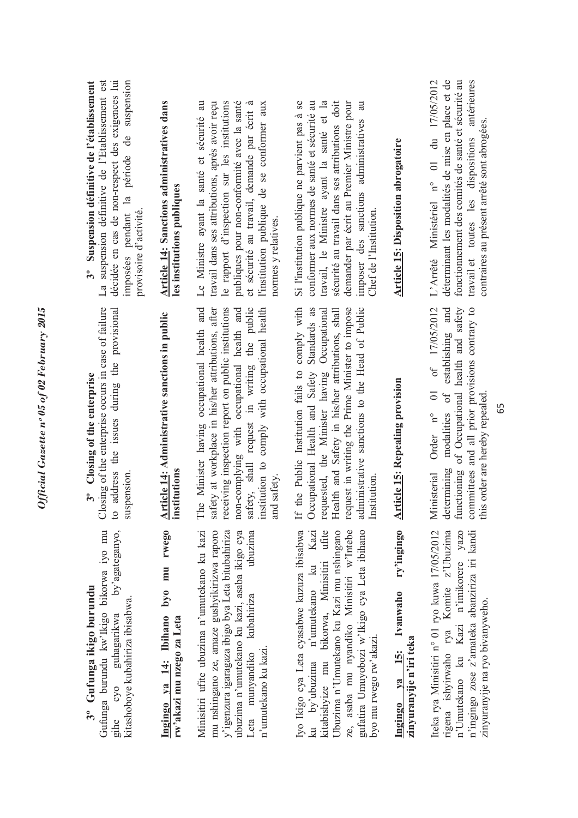### **3º Gufunga ikigo burundu**  3° Gufunga ikigo burundu

Gufunga burundu kw'lkigo bikorwa iyo mu Gufunga burundu kw'Ikigo bikorwa iyo mu gihe cyo guhagarikwa by'agateganyo, by'agateganyo, kitashoboye kubahiriza ibisabwa. kitashoboye kubahiriza ibisabwa. guhagarikwa  $C<sub>NO</sub>$ gihe<br>S

#### Ingingo ya 14: Ibihano byo mu rwego **Ingingo ya 14: Ibihano byo mu rwego rw'akazi mu nzego za Leta**  rw'akazi mu nzego za Leta

Minisitiri ufite ubuzima n'umutekano ku kazi Minisitiri ufite ubuzima n'umutekano ku kazi mu nshingano ze, amaze gushyikirizwa raporo mu nshingano ze, amaze gushyikirizwa raporo y'igenzura igaragaza ibigo bya Leta bitubahiriza ubuzima n'umutekano ku kazi, asaba ikigo cya Leta munyandiko kubahiriza ubuzima y'igenzura igaragaza ibigo bya Leta bitubahiriza ubuzima n'umutekano ku kazi, asaba ikigo cya ubuzima Leta munyandiko kubahiriza n'umutekano ku kazi. n'umutekano ku kazi.

yo Ikigo cya Leta cyasabwe kuzuza ibisabwa Iyo Ikigo cya Leta cyasabwe kuzuza ibisabwa ku by'ubuzima n'umutekano ku Kazi ku by'ubuzima n'umutekano ku Kazi kitabishyize mu bikorwa, Minisitiri ufite kitabishyize mu bikorwa, Minisitiri ufite Jbuzima n'Umutekano ku Kazi mu nshingano ze, asaba mu nyandiko Minisitiri w'Intebe gufatira Umuyobozi w'Ikigo cya Leta ibihano Ubuzima n'Umutekano ku Kazi mu nshingano gufatira Umuyobozi w'Ikigo cya Leta ibihano ze, asaba mu nyandiko Minisitiri w'Intebe yo mu rwego rw'akazi. byo mu rwego rw'akazi.

### Ingingo ya 15: Ivanwaho ry'ingingo **Ingingo ya 15: Ivanwaho ry'ingingo**  zinyuranyije n'iri teka **zinyuranyije n'iri teka**

teka rya Minisitiri n° 01 ryo kuwa 17/05/2012 Iteka rya Minisitiri n° 01 ryo kuwa 17/05/2012 n'Umutekano ku Kazi n'imikorere yazo n'ingingo zose z'amateka abanziriza iri kandi rigena ishyirwaho rya Komite z'Ubuzima rigena ishyirwaho rya Komite z'Ubuzima n'ingingo zose z'amateka abanziriza iri kandi n'Umutekano ku Kazi n'imikorere yazo zinyuranyije na ryo bivanyweho. zinyuranyije na ryo bivanyweho.

### 3° Closing of the enterprise **3º Closing of the enterprise**

Closing of the enterprise occurs in case of failure Closing of the enterprise occurs in case of failure to address the issues during the provisional to address the issues during the provisional suspension. suspension.

### Article 14: Administrative sanctions in public **Article 14: Administrative sanctions in public institutions**

The Minister having occupational health and safety at workplace in his/her attributions, after The Minister having occupational health and safety at workplace in his/her attributions, after receiving inspection report on public institutions receiving inspection report on public institutions non-complying with occupational health and non-complying with occupational health and safety, shall request in writing the public institution to comply with occupational health institution to comply with occupational health safety, shall request in writing the public and safety.

request in writing the Prime Minister to impose If the Public Institution fails to comply with If the Public Institution fails to comply with Occupational Health and Safety Standards as requested, the Minister having Occupational Health and Safety in his/her attributions, shall Health and Safety in his/her attributions, shall request in writing the Prime Minister to impose administrative sanctions to the Head of Public administrative sanctions to the Head of Public Occupational Health and Safety Standards as requested, the Minister having Occupational Institution.

# **Article 15: Repealing provision Article 15: Repealing provision**

of 17/05/2012 functioning of Occupational health and safety committees and all prior provisions contrary to Ministerial Order n° 01 of 17/05/2012 determining modalities of establishing and determining modalities of establishing and functioning of Occupational health and safety committees and all prior provisions contrary to Ministerial Order n° 01 this order are hereby repealed. this order are hereby repealed.

La suspension définitive de l'Etablissement est décidée en cas de non-respect des exigences lui suspension imposées pendant la période de suspension **3º Suspension définitive de l'établissement**  La suspension définitive de l'Etablissement est décidée en cas de non-respect des exigences lui 3° Suspension définitive de l'établissement imposées pendant la période de provisoire d'activité. provisoire d'activité.

#### **Article 14: Sanctions administratives dans**  Article 14: Sanctions administratives dans les institutions publiques **les institutions publiques**

Le Ministre ayant la santé et sécurité au travail dans ses attributions, après avoir reçu le rapport d'inspection sur les institutions le rapport d'inspection sur les institutions publiques pour non-conformité avec la santé et sécurité au travail, demande par écrit à et sécurité au travail, demande par écrit à l'institution publique de se conformer aux Le Ministre ayant la santé et sécurité au travail dans ses attributions, après avoir reçu publiques pour non-conformité avec la santé l'institution publique de se conformer aux normes y relatives. normes y relatives.

Si l'institution publique ne parvient pas à se conformer aux normes de santé et sécurité au travail, le Ministre ayant la santé et la sécurité au travail dans ses attributions doit demander par écrit au Premier Ministre pour imposer des sanctions administratives au Si l'institution publique ne parvient pas à se conformer aux normes de santé et sécurité au travail, le Ministre ayant la santé et la sécurité au travail dans ses attributions doit demander par écrit au Premier Ministre pour imposer des sanctions administratives au Chef de l'Institution. Chef de l'Institution.

### **Article 15: Disposition abrogatoire Article 15: Disposition abrogatoire**

L'Arrêté Ministériel n° 01 du 17/05/2012 L'Arrêté Ministériel n° 01 du 17/05/2012 déterminant les modalités de mise en place et de déterminant les modalités de mise en place et de fonctionnement des comités de santé et sécurité au fonctionnement des comités de santé et sécurité au travail et toutes les dispositions antérieures travail et toutes les dispositions antérieures contraires au présent arrêté sont abrogées. contraires au présent arrêté sont abrogées.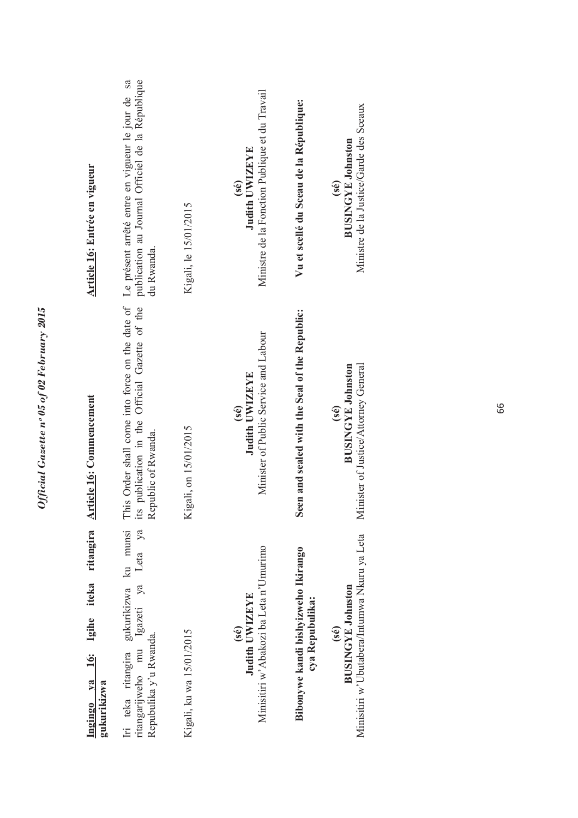| Ingingo ya 16: Igihe iteka ritangira<br>gukurikizwa                                                              | <b>Article 16: Commencement</b>                                                                                                             | Article 16: Entrée en vigueur                                                                                      |
|------------------------------------------------------------------------------------------------------------------|---------------------------------------------------------------------------------------------------------------------------------------------|--------------------------------------------------------------------------------------------------------------------|
| Iri teka ritangira gukurikizwa ku munsi<br>ritangarijweho mu Igazeti ya Leta ya<br>Repubulika y'u Rwanda.        | This Order shall come into force on the date of<br>publication in the Official Gazette of the<br>its publication in the Republic of Rwanda. | Le présent arrêté entre en vigueur le jour de sa<br>publication au Journal Officiel de la République<br>du Rwanda. |
| Kigali, ku wa 15/01/2015                                                                                         | Kigali, on 15/01/2015                                                                                                                       | Kigali, le 15/01/2015                                                                                              |
| Minisitiri w'Abakozi ba Leta n'Umurimo<br>Judith UWIZEYE<br>$(\hat{\mathbf{s}}\hat{\mathbf{e}})$                 | Minister of Public Service and Labour<br>Judith UWIZEYE<br>(sé)                                                                             | Ministre de la Fonction Publique et du Travail<br>Judith UWIZEYE<br>$(\hat{s}\hat{e})$                             |
| Bibonywe kandi bishyizweho Ikirango<br>cya Repubulika:                                                           | Seen and sealed with the Seal of the Republic:                                                                                              | Vu et scellé du Sceau de la République:                                                                            |
| Minisitiri w'Ubutabera/Intumwa Nkuru ya Leta<br><b>BUSINGYE Johnston</b><br>$(\hat{\mathbf{s}}\hat{\mathbf{e}})$ | <b>BUSINGYE Johnston</b><br>Minister of Justice/Attorney General<br>(sé)                                                                    | Ministre de la Justice/Garde des Sceaux<br><b>BUSINGYE Johnston</b><br>(se)                                        |
|                                                                                                                  |                                                                                                                                             |                                                                                                                    |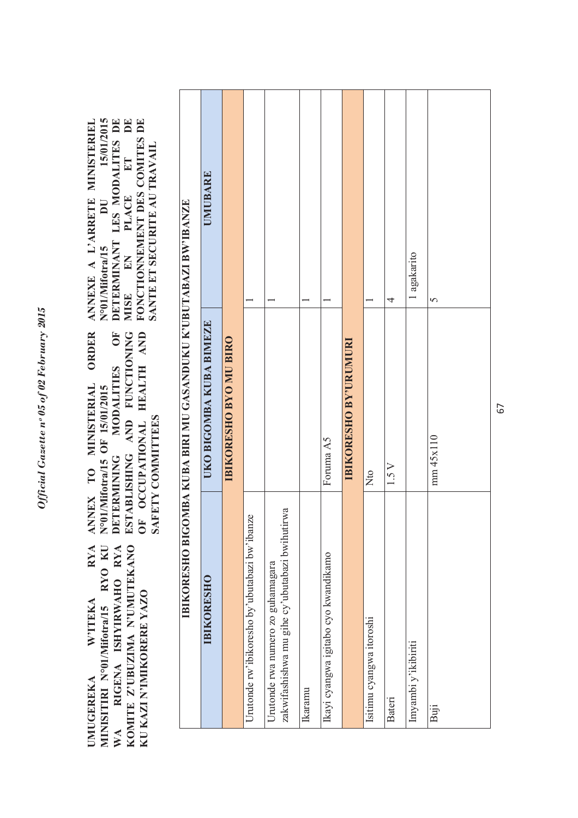**RYA** MINISITIRI Nº01/Mifotra/15 RYO KU WA RIGENA ISHYIRWAHO RYA KOMITE Z'UBUZIMA N'UMUTEKANO **UMUGEREKA W'ITEKA RYA MINISITIRI N°01/Mifotra/15 RYO KU WA RIGENA ISHYIRWAHO RYA KOMITE Z'UBUZIMA N'UMUTEKANO**  KU KAZI N'IMIKORERE YAZO **KU KAZI N'IMIKORERE YAZO WITEKA UMUGEREKA** 

OF OCCUPATIONAL HEALTH AND ORDER ESTABLISHING AND FUNCTIONING **ANNEX TO MINISTERIAL ORDER**  MODALITIES OF **DETERMINING MODALITIES OF ESTABLISHING AND FUNCTIONING OF OCCUPATIONAL HEALTH AND**  ANNEX TO MINISTERIAL N°01/Mifotra/15 OF 15/01/2015 **N°01/Mifotra/15 OF 15/01/2015 SAFETY COMMITTEES**  SAFETY COMMITTEES DETERMINING

**N°01/Mifotra/15 DU 15/01/2015**   $\begin{tabular}{ll} \bf{MISE} & \bf{EN} & \bf{PLACE} & \bf{ET} & \bf{DE} \\ \bf{FONCTIONNEMENT DES COMITES DE} \end{tabular}$ **MISE EN PLACE ET DE FONCTIONNEMENT DES COMITES DE ANNEXE A L'ARRETE MINISTERIEL**  15/01/2015 **DETERMINANT LES MODALITES DE**  ANNEXE A L'ARRETE MINISTERIEL DETERMINANT LES MODALITES DE SANTE ET SECURITE AU TRAVAIL **SANTE ET SECURITE AU TRAVAIL**DU N°01/Mifotra/15

|                                                                                     | IBIKORESHO BIGOMBA KUBA BIRI MU GASANDUKU K'UBUTABAZI BW'IBANZE |                |
|-------------------------------------------------------------------------------------|-----------------------------------------------------------------|----------------|
| <b>IBIKORESHO</b>                                                                   | UKO BIGOMBA KUBA BIMEZE                                         | <b>UMUBARE</b> |
|                                                                                     | <b>IBIKORESHO BYO MU BIRO</b>                                   |                |
| Urutonde rw'ibikoresho by'ubutabazi bw'ibanze                                       |                                                                 |                |
| zakwifashishwa mu gihe cy'ubutabazi bwihutirwa<br>Urutonde rwa numero zo guhamagara |                                                                 |                |
| Ikaramu                                                                             |                                                                 |                |
| Ikayi cyangwa igitabo cyo kwandikamo                                                | Foruma A5                                                       |                |
|                                                                                     | <b>IBIKORESHO BY'URUMURI</b>                                    |                |
| Isitimu cyangwa itoroshi                                                            | Nto                                                             |                |
| Bateri                                                                              | 1.5 V                                                           | 4              |
| Imyambi y'ikibiriti                                                                 |                                                                 | l agakarito    |
| Buji                                                                                | mm 45x110                                                       | 5              |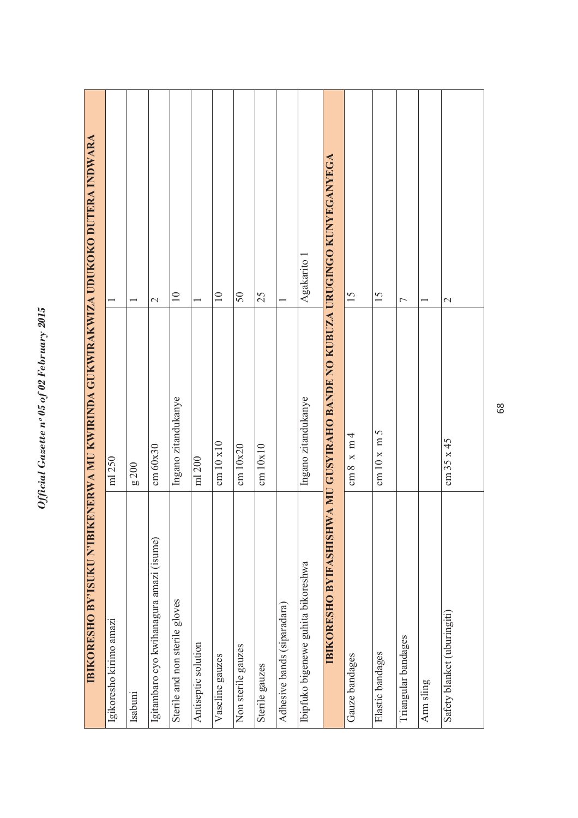| IBIKORESHO BY'ISUKU N'IBIKENERWA MU KWIRINDA GUKWIRAKWIZA UDUKOKO DUTERA INDWARA |                                                       |                   |
|----------------------------------------------------------------------------------|-------------------------------------------------------|-------------------|
| Igikoresho kirimo amazi                                                          | ml 250                                                |                   |
| Isabuni                                                                          | g 200                                                 |                   |
| Igitambaro cyo kwihanagura amazi (isume)                                         | cm 60x30                                              | $\mathbf{\Omega}$ |
| Sterile and non sterile gloves                                                   | Ingano zitandukanye                                   | $\supseteq$       |
| Antiseptic solution                                                              | ml 200                                                |                   |
| Vaseline gauzes                                                                  | cm $10 \times 10$                                     | $\equiv$          |
| Non sterile gauzes                                                               | cm 10x20                                              | 50                |
| Sterile gauzes                                                                   | cm 10x10                                              | 25                |
| Adhesive bands (siparadara)                                                      |                                                       |                   |
| Ibipfuko bigenewe guhita bikoreshwa                                              | Ingano zitandukanye                                   | Agakarito 1       |
| <b>BIKORESHO BYIFASHISH</b>                                                      | WA MU GUSYIRAHO BANDE NO KUBUZA URUGINGO KUNYEGANYEGA |                   |
| Gauze bandages                                                                   | $cm 8 \times m 4$                                     | 15                |
| Elastic bandages                                                                 | cm $10 \times m$ 5                                    | $\overline{15}$   |
| Triangular bandages                                                              |                                                       | $\overline{ }$    |
| Arm sling                                                                        |                                                       |                   |
| Safety blanket (uburingiti)                                                      | cm 35 x 45                                            | $\mathcal{L}$     |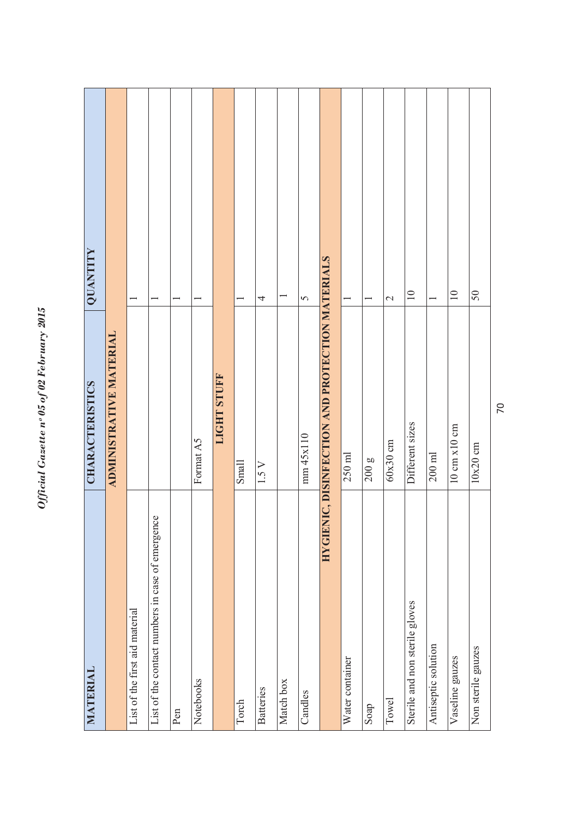| MATERIAL                                         | <b>CHARACTERISTICS</b>                          | QUANTITY     |
|--------------------------------------------------|-------------------------------------------------|--------------|
|                                                  | ADMINISTRATIVE MATERIAL                         |              |
| List of the first aid material                   |                                                 |              |
| List of the contact numbers in case of emergence |                                                 |              |
| Pen                                              |                                                 |              |
| Notebooks                                        | Format A5                                       |              |
|                                                  | <b>LIGHT STUFF</b>                              |              |
| Torch                                            | Small                                           |              |
| <b>Batteries</b>                                 | 1.5 V                                           | 4            |
| Match box                                        |                                                 |              |
| Candles                                          | mm 45x110                                       | $\sigma$     |
|                                                  | HYGIENIC, DISINFECTION AND PROTECTION MATERIALS |              |
| Water container                                  | $250$ ml                                        |              |
| Soap                                             | 200 <sub>g</sub>                                |              |
| Towel                                            | $60x30$ cm                                      | $\mathbf{C}$ |
| Sterile and non sterile gloves                   | Different sizes                                 | $\equiv$     |
| Antiseptic solution                              | $200$ ml                                        |              |
| Vaseline gauzes                                  | $10 \text{ cm} \times 10 \text{ cm}$            | $\equiv$     |
| Non sterile gauzes                               | $10x20$ cm                                      | 50           |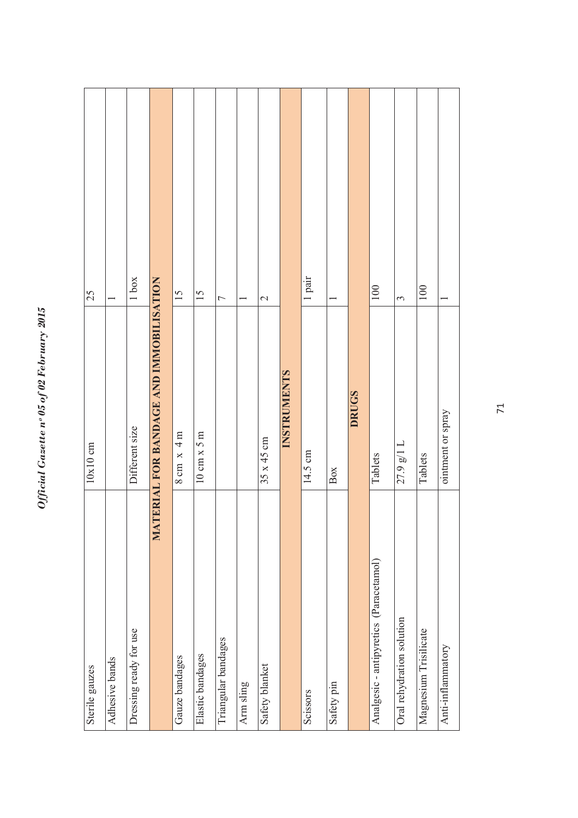| Sterile gauzes                         | $10x10$ cm                              | 25             |
|----------------------------------------|-----------------------------------------|----------------|
| Adhesive bands                         |                                         |                |
| Dressing ready for use                 | Different size                          | 1 box          |
|                                        | MATERIAL FOR BANDAGE AND IMMOBILISATION |                |
| Gauze bandages                         | $8 \text{ cm} \times 4 \text{ m}$       | 15             |
| Elastic bandages                       | $10 \text{ cm} \times 5 \text{ m}$      | 15             |
| Triangular bandages                    |                                         | $\overline{ }$ |
| Arm sling                              |                                         |                |
| Safety blanket                         | $35 \times 45$ cm                       | $\mathcal{L}$  |
|                                        | INSTRUMENTS                             |                |
| Scissors                               | 14.5 cm                                 | 1 pair         |
| Safety pin                             | Box                                     |                |
|                                        | <b>DRUGS</b>                            |                |
| Analgesic - antipyretics (Paracetamol) | Tablets                                 | 100            |
| Oral rehydration solution              | $27.9$ g/l L                            | 3              |
| Magnesium Trisilicate                  | Tablets                                 | 100            |
| Anti-inflammatory                      | ointment or spray                       |                |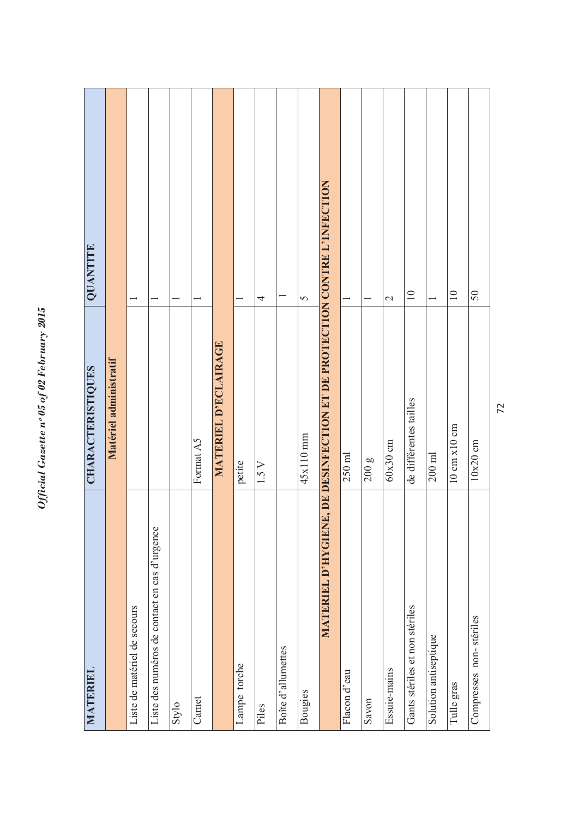| <b>MATERIEL</b>                               | CHARACTERISTIQUES                                                       | QUANTITE        |
|-----------------------------------------------|-------------------------------------------------------------------------|-----------------|
|                                               | Matériel administratif                                                  |                 |
| Liste de matériel de secours                  |                                                                         |                 |
| Liste des numéros de contact en cas d'urgence |                                                                         |                 |
| Stylo                                         |                                                                         |                 |
| Carnet                                        | Format A5                                                               |                 |
|                                               | MATERIEL D'ECLAIRAGE                                                    |                 |
| Lampe torche                                  | petite                                                                  |                 |
| Piles                                         | $1.5 V$                                                                 | 4               |
| Boîte d'allumettes                            |                                                                         |                 |
| Bougies                                       | $45x110$ mm                                                             | $\sigma$        |
|                                               | MATERIEL D'HYGIENE, DE DESINFECTION ET DE PROTECTION CONTRE L'INFECTION |                 |
| Flacon d'eau                                  | $250$ ml                                                                |                 |
| Savon                                         | 200g                                                                    |                 |
| Essuie-mains                                  | 60x30cm                                                                 | $\mathcal{L}$   |
| Gants stériles et non stériles                | de différentes tailles                                                  | $\overline{10}$ |
| Solution antiseptique                         | $200$ ml                                                                |                 |
| Tulle gras                                    | $10 \text{ cm} \times 10 \text{ cm}$                                    | $\overline{10}$ |
| Compresses non-stériles                       | $10x20$ cm                                                              | 50              |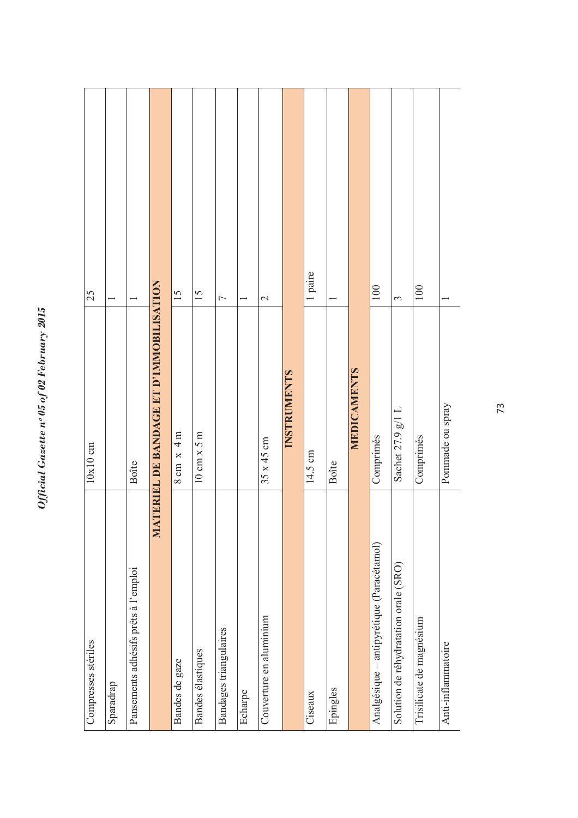| Compresses stériles                       | 10x10cm                                 | 25                       |
|-------------------------------------------|-----------------------------------------|--------------------------|
| Sparadrap                                 |                                         |                          |
| Pansements adhésifs prêts à l'emploi      | Boîte                                   |                          |
|                                           | MATERIEL DE BANDAGE ET D'IMMOBILISATION |                          |
| Bandes de gaze                            | $8 \text{ cm} \times 4 \text{ m}$       | 15                       |
| Bandes élastiques                         | $10 \text{ cm} \times 5 \text{ m}$      | 15                       |
| Bandages triangulaires                    |                                         | 7                        |
| Echarpe                                   |                                         |                          |
| Couverture en aluminium                   | $35 \times 45$ cm                       | $\overline{\mathcal{C}}$ |
|                                           | <b>INSTRUMENTS</b>                      |                          |
| Ciseaux                                   | 14.5 cm                                 | 1 paire                  |
| Epingles                                  | <b>Boîte</b>                            |                          |
|                                           | <b>MEDICAMENTS</b>                      |                          |
| Analgésique - antipyrétique (Paracétamol) | Comprimés                               | 100                      |
| Solution de réhydratation orale (SRO)     | Sachet 27.9 g/1 L                       | 3                        |
| Trisilicate de magnésium                  | Comprimés                               | 100                      |
| Anti-inflammatoire                        | Pommade ou spray                        |                          |